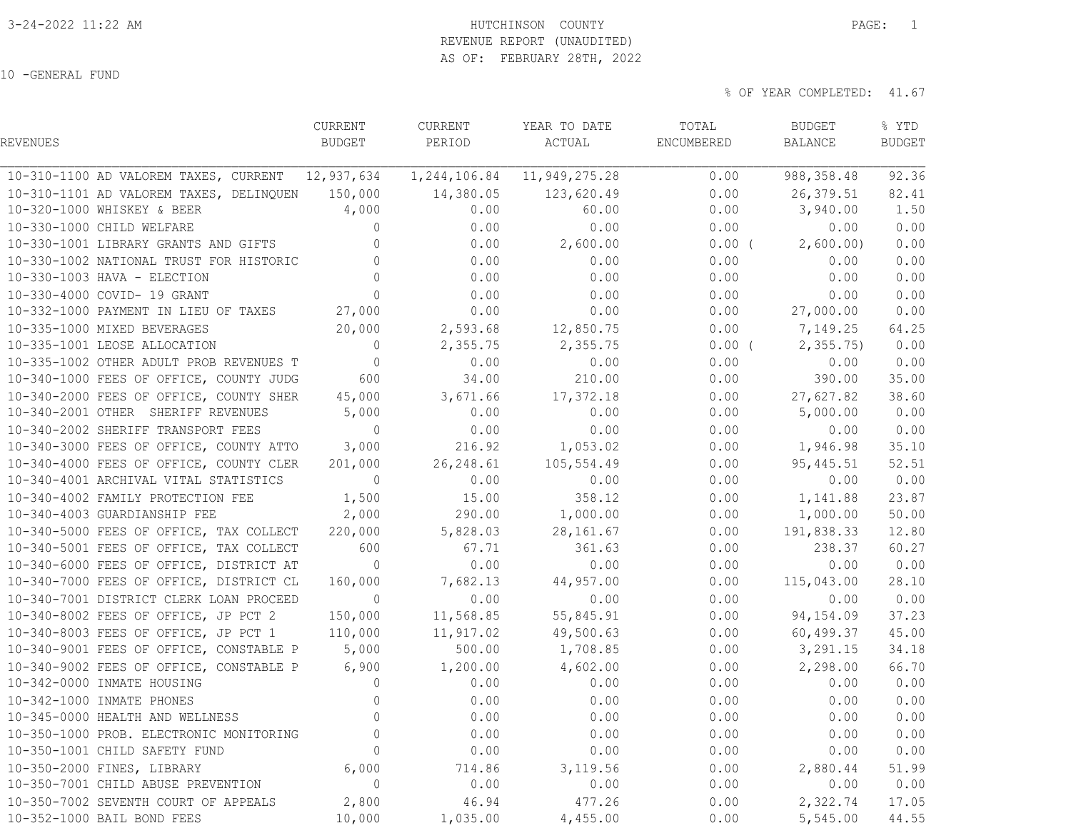# 3-24-2022 11:22 AM HUTCHINSON COUNTY PAGE: 1

 REVENUE REPORT (UNAUDITED) AS OF: FEBRUARY 28TH, 2022

10 -GENERAL FUND

|                                                  | CURRENT        | CURRENT    | YEAR TO DATE                   | TOTAL      | BUDGET                | % YTD         |
|--------------------------------------------------|----------------|------------|--------------------------------|------------|-----------------------|---------------|
| REVENUES                                         | BUDGET         | PERIOD     | ACTUAL                         | ENCUMBERED | BALANCE               | <b>BUDGET</b> |
| 10-310-1100 AD VALOREM TAXES, CURRENT 12,937,634 |                |            | 1, 244, 106.84 11, 949, 275.28 | 0.00       | 988, 358.48           | 92.36         |
| 10-310-1101 AD VALOREM TAXES, DELINQUEN 150,000  |                | 14,380.05  | 123,620.49                     | 0.00       | 26,379.51             | 82.41         |
| 10-320-1000 WHISKEY & BEER                       | 4,000          | 0.00       | 60.00                          | 0.00       | 3,940.00              | 1.50          |
| 10-330-1000 CHILD WELFARE                        | $\circ$        | 0.00       | 0.00                           | 0.00       | 0.00                  | 0.00          |
| 10-330-1001 LIBRARY GRANTS AND GIFTS             | $\Omega$       | 0.00       | 2,600.00                       |            | $0.00$ ( $2,600.00$ ) | 0.00          |
| 10-330-1002 NATIONAL TRUST FOR HISTORIC          | $\mathbf{0}$   | 0.00       | 0.00                           | 0.00       | 0.00                  | 0.00          |
| 10-330-1003 HAVA - ELECTION                      | $\Omega$       | 0.00       | 0.00                           | 0.00       | 0.00                  | 0.00          |
| 10-330-4000 COVID- 19 GRANT                      | $\Omega$       | 0.00       | 0.00                           | 0.00       | 0.00                  | 0.00          |
| 10-332-1000 PAYMENT IN LIEU OF TAXES 27,000      |                | 0.00       | 0.00                           | 0.00       | 27,000.00             | 0.00          |
| 10-335-1000 MIXED BEVERAGES                      | 20,000         |            | 2,593.68 12,850.75             | 0.00       | 7,149.25              | 64.25         |
| 10-335-1001 LEOSE ALLOCATION                     | $\overline{0}$ | 2,355.75   | 2,355.75                       | $0.00$ (   | 2, 355.75             | 0.00          |
| 10-335-1002 OTHER ADULT PROB REVENUES T          | $\overline{0}$ | 0.00       | 0.00                           | 0.00       | 0.00                  | 0.00          |
| 10-340-1000 FEES OF OFFICE, COUNTY JUDG          | 600            | 34.00      | 210.00                         | 0.00       | 390.00                | 35.00         |
| 10-340-2000 FEES OF OFFICE, COUNTY SHER 45,000   |                | 3,671.66   | 17,372.18                      |            | $0.00$ 27,627.82      | 38.60         |
| 10-340-2001 OTHER SHERIFF REVENUES               | 5,000          | 0.00       | 0.00                           | 0.00       | 5,000.00              | 0.00          |
| 10-340-2002 SHERIFF TRANSPORT FEES               | $\bigcirc$     | 0.00       | 0.00                           | 0.00       | 0.00                  | 0.00          |
| 10-340-3000 FEES OF OFFICE, COUNTY ATTO 3,000    |                |            | 216.92 1,053.02                |            | $0.00$ 1,946.98       | 35.10         |
| 10-340-4000 FEES OF OFFICE, COUNTY CLER          | 201,000        | 26, 248.61 | 105,554.49                     | 0.00       | 95,445.51             | 52.51         |
| 10-340-4001 ARCHIVAL VITAL STATISTICS            | $\circ$        | 0.00       | 0.00                           | 0.00       | 0.00                  | 0.00          |
| 10-340-4002 FAMILY PROTECTION FEE                | 1,500          | 15.00      | 358.12                         | 0.00       | 1,141.88              | 23.87         |
| 10-340-4003 GUARDIANSHIP FEE                     | 2,000          |            | 290.00 1,000.00                | 0.00       | 1,000.00              | 50.00         |
| 10-340-5000 FEES OF OFFICE, TAX COLLECT 220,000  |                | 5,828.03   | 28,161.67                      | 0.00       | 191,838.33            | 12.80         |
| 10-340-5001 FEES OF OFFICE, TAX COLLECT          | 600            | 67.71      | 361.63                         | 0.00       | 238.37                | 60.27         |
| 10-340-6000 FEES OF OFFICE, DISTRICT AT          | $\overline{0}$ | 0.00       | 0.00                           | 0.00       | 0.00                  | 0.00          |
| 10-340-7000 FEES OF OFFICE, DISTRICT CL          | 160,000        | 7,682.13   | 44,957.00                      | 0.00       | 115,043.00            | 28.10         |
| 10-340-7001 DISTRICT CLERK LOAN PROCEED          | $\overline{0}$ | 0.00       | 0.00                           | 0.00       | 0.00                  | 0.00          |
| 10-340-8002 FEES OF OFFICE, JP PCT 2             | 150,000        | 11,568.85  | 55,845.91                      | 0.00       | 94,154.09             | 37.23         |
| 10-340-8003 FEES OF OFFICE, JP PCT 1             | 110,000        | 11,917.02  | 49,500.63                      | 0.00       | 60,499.37             | 45.00         |
| 10-340-9001 FEES OF OFFICE, CONSTABLE P          | 5,000          | 500.00     | 1,708.85                       |            | $0.00$ $3,291.15$     | 34.18         |
| 10-340-9002 FEES OF OFFICE, CONSTABLE P          | 6,900          |            | $1,200.00$ $4,602.00$          |            | $0.00$ 2,298.00       | 66.70         |
| 10-342-0000 INMATE HOUSING                       | $\overline{0}$ | 0.00       | 0.00                           | 0.00       | 0.00                  | 0.00          |
| 10-342-1000 INMATE PHONES                        | $\Omega$       | 0.00       | 0.00                           | 0.00       | 0.00                  | 0.00          |
| 10-345-0000 HEALTH AND WELLNESS                  | $\circ$        | 0.00       | 0.00                           | 0.00       | 0.00                  | 0.00          |
| 10-350-1000 PROB. ELECTRONIC MONITORING          | $\mathbb O$    | 0.00       | 0.00                           | 0.00       | 0.00                  | 0.00          |
| 10-350-1001 CHILD SAFETY FUND                    | 0              | 0.00       | 0.00                           | 0.00       | 0.00                  | 0.00          |
| 10-350-2000 FINES, LIBRARY                       | 6,000          | 714.86     | 3,119.56                       | 0.00       | 2,880.44              | 51.99         |
| 10-350-7001 CHILD ABUSE PREVENTION               | $\circ$        | 0.00       | 0.00                           | 0.00       | 0.00                  | 0.00          |
| 10-350-7002 SEVENTH COURT OF APPEALS             | 2,800          | 46.94      | 477.26                         | 0.00       | 2,322.74              | 17.05         |
| 10-352-1000 BAIL BOND FEES                       | 10,000         | 1,035.00   | 4,455.00                       | 0.00       | 5,545.00              | 44.55         |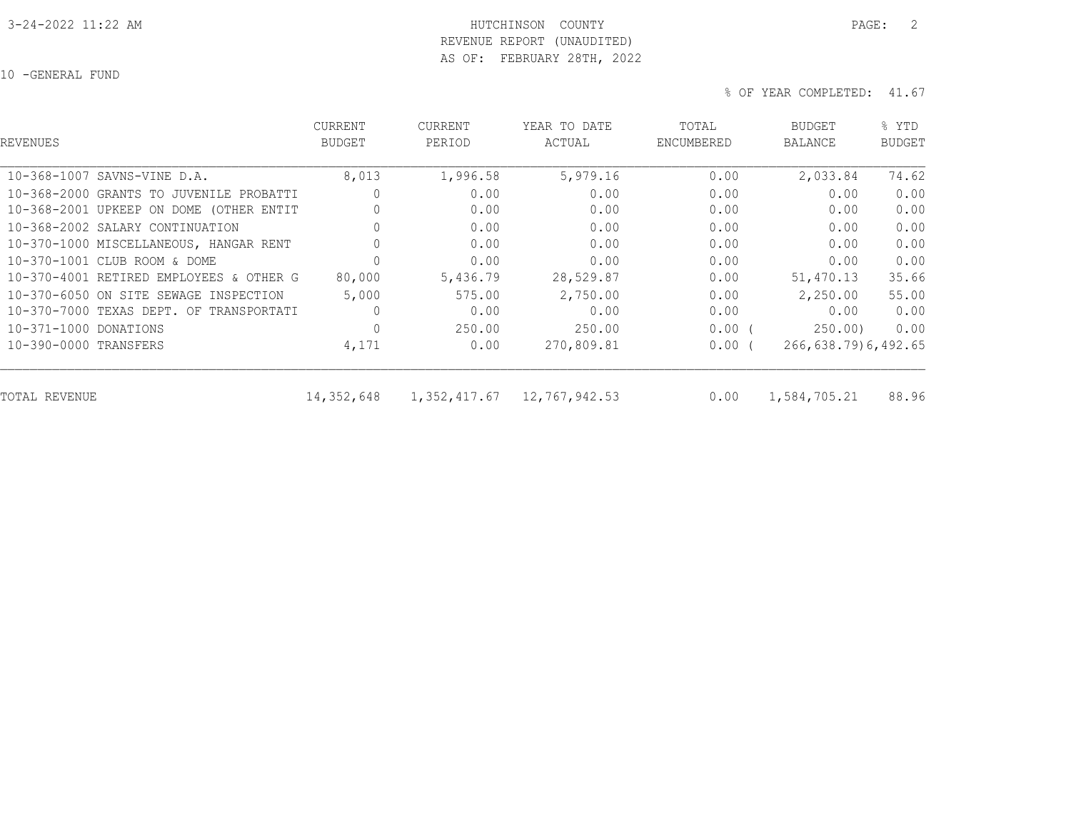#### 3-24-2022 11:22 AM HUTCHINSON COUNTY PAGE: 2 REVENUE REPORT (UNAUDITED)

AS OF: FEBRUARY 28TH, 2022

10 -GENERAL FUND

| REVENUES                                | <b>CURRENT</b><br><b>BUDGET</b> | <b>CURRENT</b><br>PERIOD | YEAR TO DATE<br>ACTUAL | TOTAL<br>ENCUMBERED | <b>BUDGET</b><br><b>BALANCE</b> | % YTD<br><b>BUDGET</b> |
|-----------------------------------------|---------------------------------|--------------------------|------------------------|---------------------|---------------------------------|------------------------|
| 10-368-1007 SAVNS-VINE D.A.             | 8,013                           | 1,996.58                 | 5,979.16               | 0.00                | 2,033.84                        | 74.62                  |
| 10-368-2000 GRANTS TO JUVENILE PROBATTI | 0                               | 0.00                     | 0.00                   | 0.00                | 0.00                            | 0.00                   |
| 10-368-2001 UPKEEP ON DOME (OTHER ENTIT | $\Omega$                        | 0.00                     | 0.00                   | 0.00                | 0.00                            | 0.00                   |
| 10-368-2002 SALARY CONTINUATION         |                                 | 0.00                     | 0.00                   | 0.00                | 0.00                            | 0.00                   |
| 10-370-1000 MISCELLANEOUS, HANGAR RENT  | 0                               | 0.00                     | 0.00                   | 0.00                | 0.00                            | 0.00                   |
| 10-370-1001 CLUB ROOM & DOME            |                                 | 0.00                     | 0.00                   | 0.00                | 0.00                            | 0.00                   |
| 10-370-4001 RETIRED EMPLOYEES & OTHER G | 80,000                          | 5,436.79                 | 28,529.87              | 0.00                | 51,470.13                       | 35.66                  |
| 10-370-6050 ON SITE SEWAGE INSPECTION   | 5,000                           | 575.00                   | 2,750.00               | 0.00                | 2,250.00                        | 55.00                  |
| 10-370-7000 TEXAS DEPT. OF TRANSPORTATI | $\mathbf{0}$                    | 0.00                     | 0.00                   | 0.00                | 0.00                            | 0.00                   |
| 10-371-1000 DONATIONS                   | $\circ$                         | 250.00                   | 250.00                 | $0.00$ (            | 250.00                          | 0.00                   |
| 10-390-0000 TRANSFERS                   | 4,171                           | 0.00                     | 270,809.81             | $0.00$ (            | 266, 638.79) 6, 492.65          |                        |
| TOTAL REVENUE                           | 14,352,648                      | 1,352,417.67             | 12,767,942.53          | 0.00                | 1,584,705.21                    | 88.96                  |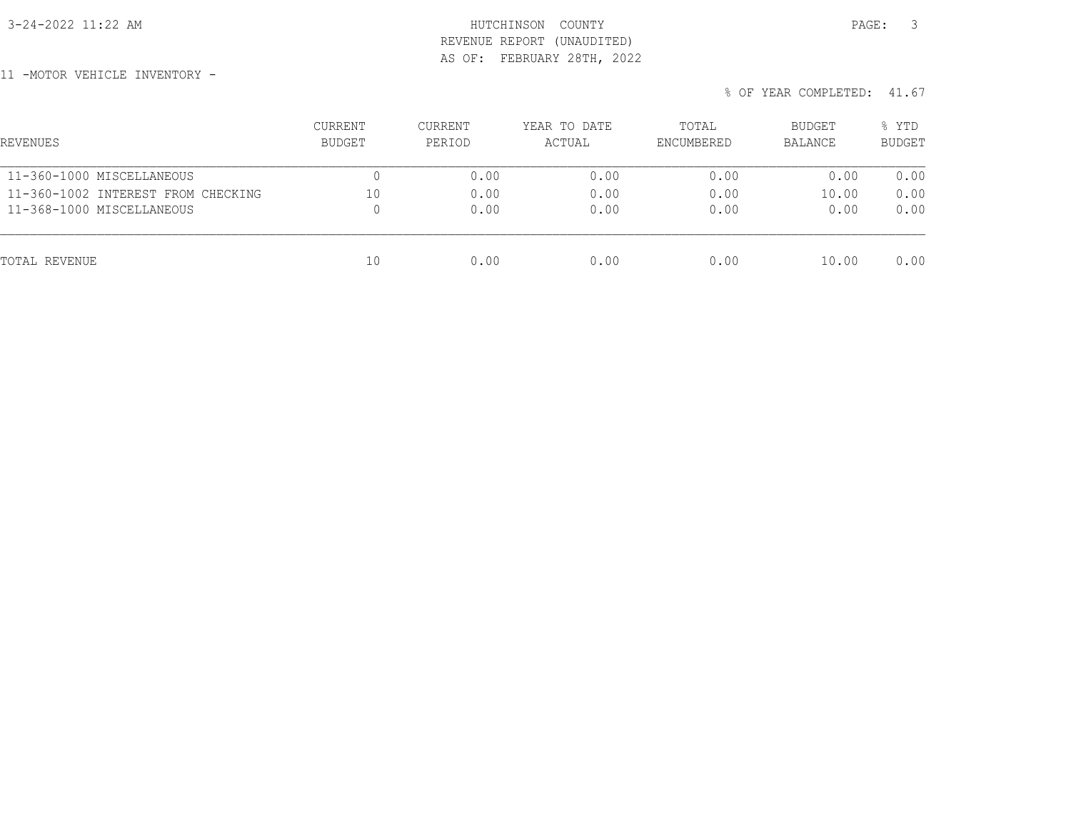## 3-24-2022 11:22 AM HUTCHINSON COUNTY PAGE: 3 REVENUE REPORT (UNAUDITED) AS OF: FEBRUARY 28TH, 2022

11 -MOTOR VEHICLE INVENTORY -

| REVENUES                           | CURRENT<br>BUDGET | CURRENT<br>PERIOD | YEAR TO DATE<br>ACTUAL | TOTAL<br>ENCUMBERED | BUDGET<br>BALANCE | % YTD<br><b>BUDGET</b> |
|------------------------------------|-------------------|-------------------|------------------------|---------------------|-------------------|------------------------|
| 11-360-1000 MISCELLANEOUS          |                   | 0.00              | 0.00                   | 0.00                | 0.00              | 0.00                   |
| 11-360-1002 INTEREST FROM CHECKING | 10                | 0.00              | 0.00                   | 0.00                | 10.00             | 0.00                   |
| 11-368-1000 MISCELLANEOUS          |                   | 0.00              | 0.00                   | 0.00                | 0.00              | 0.00                   |
| TOTAL REVENUE                      | 10                | 0.00              | 0.00                   | 0.00                | 10.00             | 0.00                   |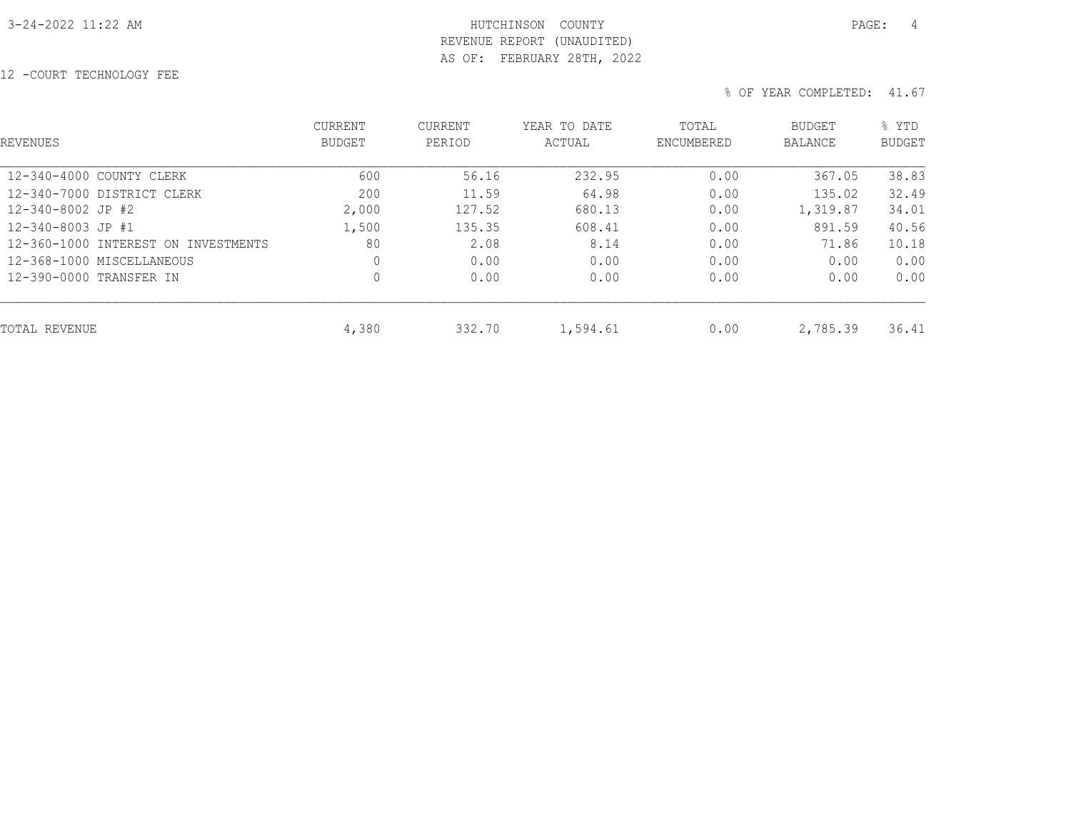## 3-24-2022 11:22 AM HUTCHINSON COUNTY PAGE: 4 REVENUE REPORT (UNAUDITED) AS OF: FEBRUARY 28TH, 2022

12 -COURT TECHNOLOGY FEE

| <b>REVENUES</b>                     | <b>CURRENT</b><br><b>BUDGET</b> | <b>CURRENT</b><br>PERIOD | YEAR TO DATE<br>ACTUAL | TOTAL<br>ENCUMBERED | BUDGET<br><b>BALANCE</b> | % YTD<br><b>BUDGET</b> |
|-------------------------------------|---------------------------------|--------------------------|------------------------|---------------------|--------------------------|------------------------|
| 12-340-4000 COUNTY CLERK            | 600                             | 56.16                    | 232.95                 | 0.00                | 367.05                   | 38.83                  |
| 12-340-7000 DISTRICT CLERK          | 200                             | 11.59                    | 64.98                  | 0.00                | 135.02                   | 32.49                  |
| 12-340-8002 JP #2                   | 2,000                           | 127.52                   | 680.13                 | 0.00                | 1,319.87                 | 34.01                  |
| 12-340-8003 JP #1                   | 1,500                           | 135.35                   | 608.41                 | 0.00                | 891.59                   | 40.56                  |
| 12-360-1000 INTEREST ON INVESTMENTS | 80                              | 2.08                     | 8.14                   | 0.00                | 71.86                    | 10.18                  |
| 12-368-1000 MISCELLANEOUS           | $\mathbf{0}$                    | 0.00                     | 0.00                   | 0.00                | 0.00                     | 0.00                   |
| 12-390-0000 TRANSFER IN             | $\mathbf 0$                     | 0.00                     | 0.00                   | 0.00                | 0.00                     | 0.00                   |
| TOTAL REVENUE                       | 4,380                           | 332.70                   | 1,594.61               | 0.00                | 2,785.39                 | 36.41                  |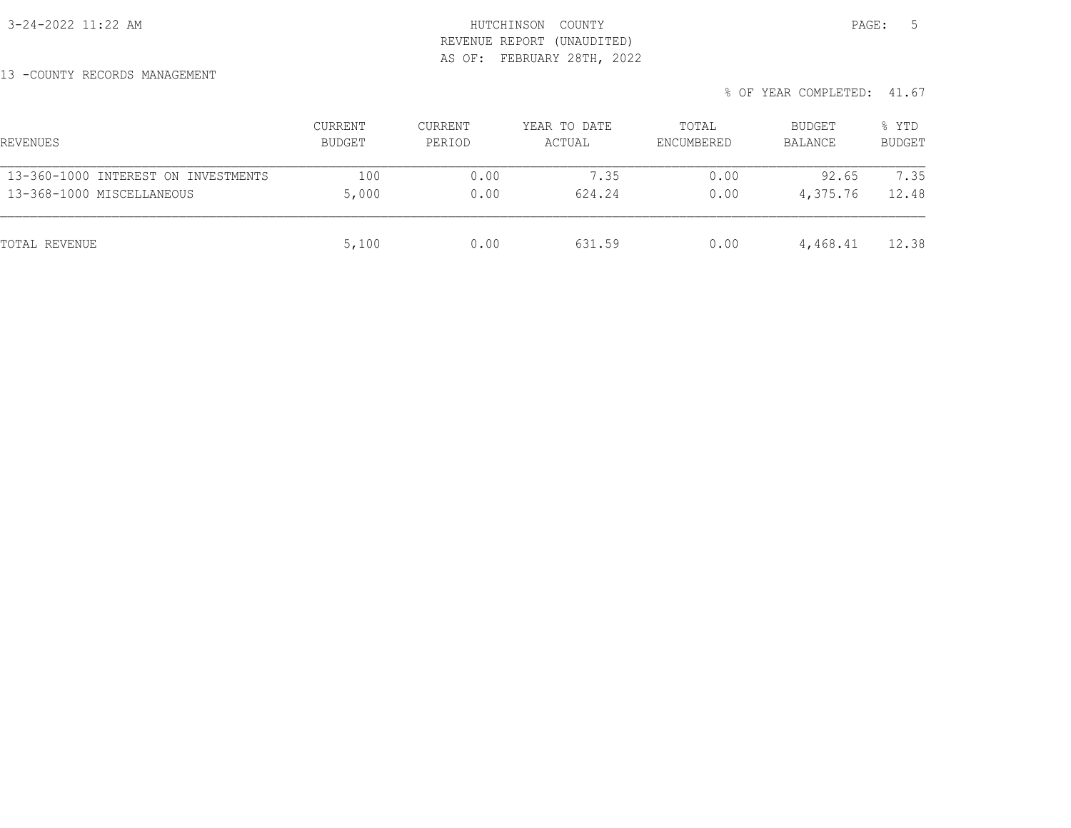## 3-24-2022 11:22 AM HUTCHINSON COUNTY PAGE: 5 REVENUE REPORT (UNAUDITED) AS OF: FEBRUARY 28TH, 2022

13 -COUNTY RECORDS MANAGEMENT

| REVENUES                            | CURRENT<br>BUDGET | CURRENT<br>PERIOD | YEAR TO DATE<br>ACTUAL | TOTAL<br>ENCUMBERED | <b>BUDGET</b><br>BALANCE | % YTD<br><b>BUDGET</b> |
|-------------------------------------|-------------------|-------------------|------------------------|---------------------|--------------------------|------------------------|
| 13-360-1000 INTEREST ON INVESTMENTS | 100               | 0.00              | 7.35                   | 0.00                | 92.65                    | 7.35                   |
| 13-368-1000 MISCELLANEOUS           | 5,000             | 0.00              | 624.24                 | 0.00                | 4,375.76                 | 12.48                  |
| TOTAL REVENUE                       | 5,100             | 0.00              | 631.59                 | 0.00                | 4,468.41                 | 12.38                  |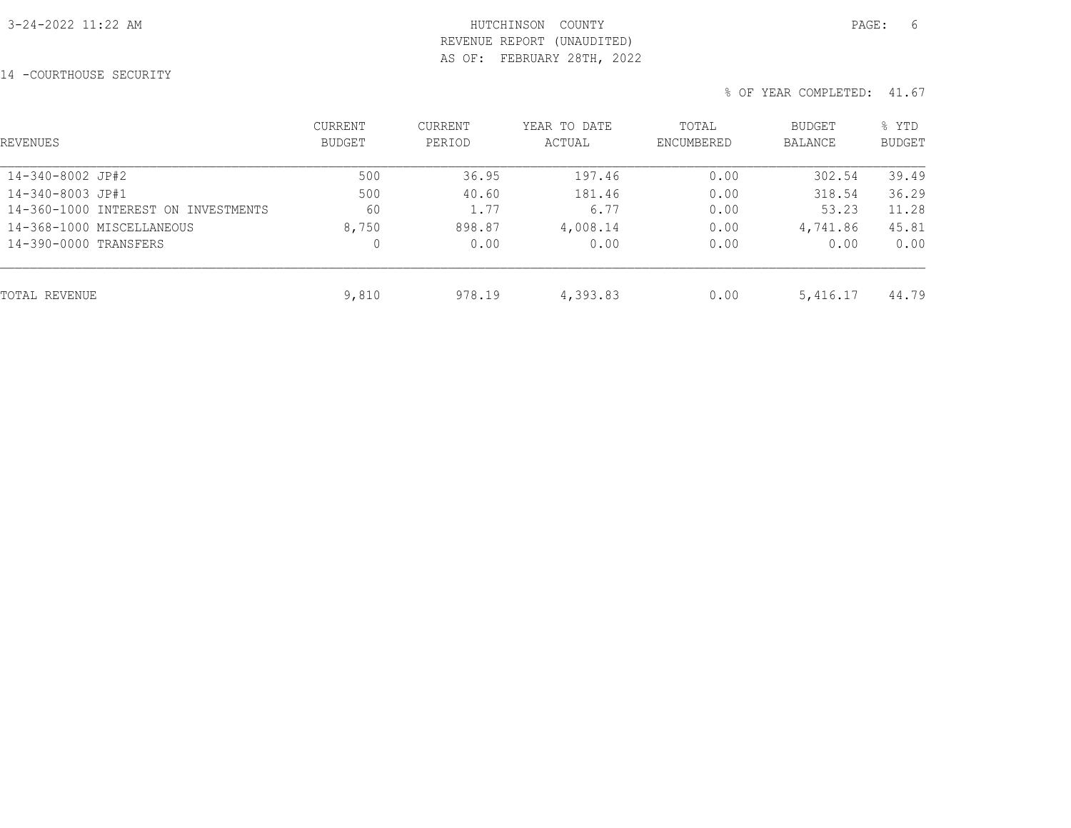## 3-24-2022 11:22 AM HUTCHINSON COUNTY PAGE: 6 REVENUE REPORT (UNAUDITED) AS OF: FEBRUARY 28TH, 2022

14 -COURTHOUSE SECURITY

| REVENUES                            | <b>CURRENT</b><br>BUDGET | <b>CURRENT</b><br>PERIOD | YEAR TO DATE<br>ACTUAL | TOTAL<br>ENCUMBERED | BUDGET<br>BALANCE | % YTD<br><b>BUDGET</b> |
|-------------------------------------|--------------------------|--------------------------|------------------------|---------------------|-------------------|------------------------|
| 14-340-8002 JP#2                    | 500                      | 36.95                    | 197.46                 | 0.00                | 302.54            | 39.49                  |
| 14-340-8003 JP#1                    | 500                      | 40.60                    | 181.46                 | 0.00                | 318.54            | 36.29                  |
| 14-360-1000 INTEREST ON INVESTMENTS | 60                       | 1.77                     | 6.77                   | 0.00                | 53.23             | 11.28                  |
| 14-368-1000 MISCELLANEOUS           | 8,750                    | 898.87                   | 4,008.14               | 0.00                | 4,741.86          | 45.81                  |
| 14-390-0000 TRANSFERS               | 0                        | 0.00                     | 0.00                   | 0.00                | 0.00              | 0.00                   |
| TOTAL REVENUE                       | 9,810                    | 978.19                   | 4,393.83               | 0.00                | 5,416.17          | 44.79                  |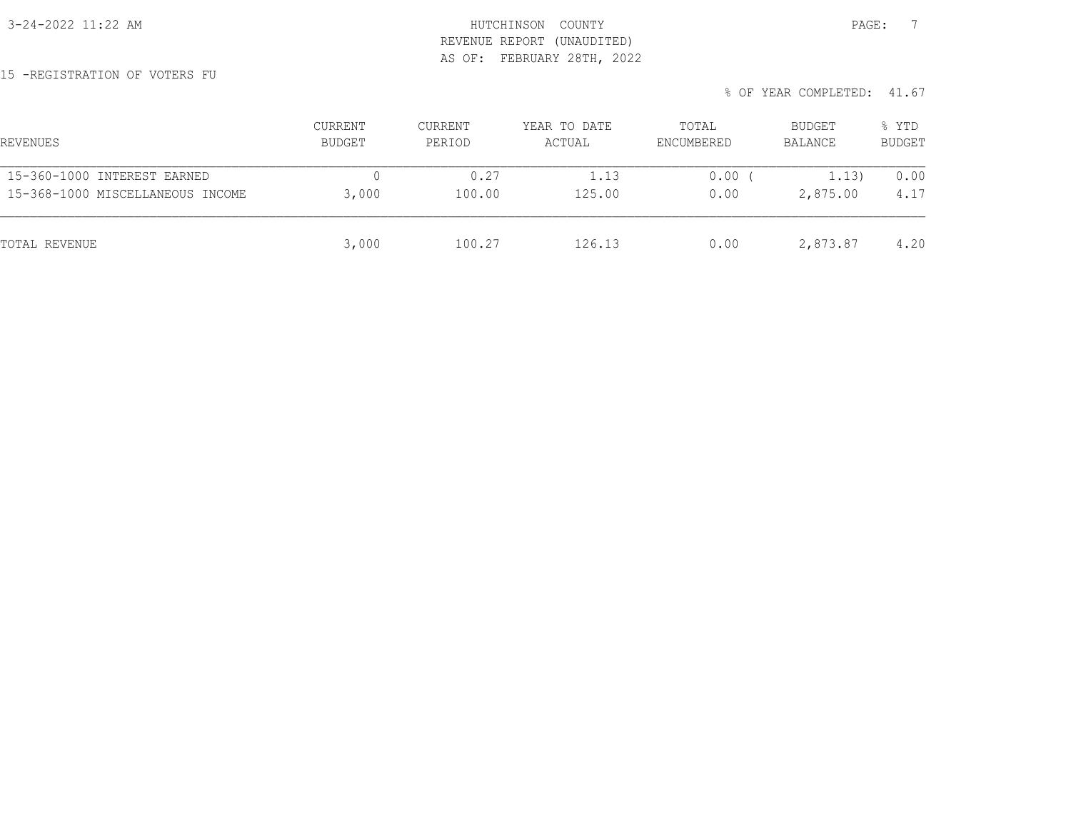3-24-2022 11:22 AM HUTCHINSON COUNTY PAGE: 7 REVENUE REPORT (UNAUDITED) AS OF: FEBRUARY 28TH, 2022

15 -REGISTRATION OF VOTERS FU

| REVENUES                         | <b>CURRENT</b><br>BUDGET | CURRENT<br>PERIOD | YEAR TO DATE<br>ACTUAL | TOTAL<br>ENCUMBERED | BUDGET<br>BALANCE | % YTD<br><b>BUDGET</b> |
|----------------------------------|--------------------------|-------------------|------------------------|---------------------|-------------------|------------------------|
| 15-360-1000 INTEREST EARNED      |                          | 0.27              | 1.13                   | 0.00                | 1.13)             | 0.00                   |
| 15-368-1000 MISCELLANEOUS INCOME | 3,000                    | 100.00            | 125.00                 | 0.00                | 2,875.00          | 4.17                   |
| TOTAL REVENUE                    | 3,000                    | 100.27            | 126.13                 | 0.00                | 2,873.87          | 4.20                   |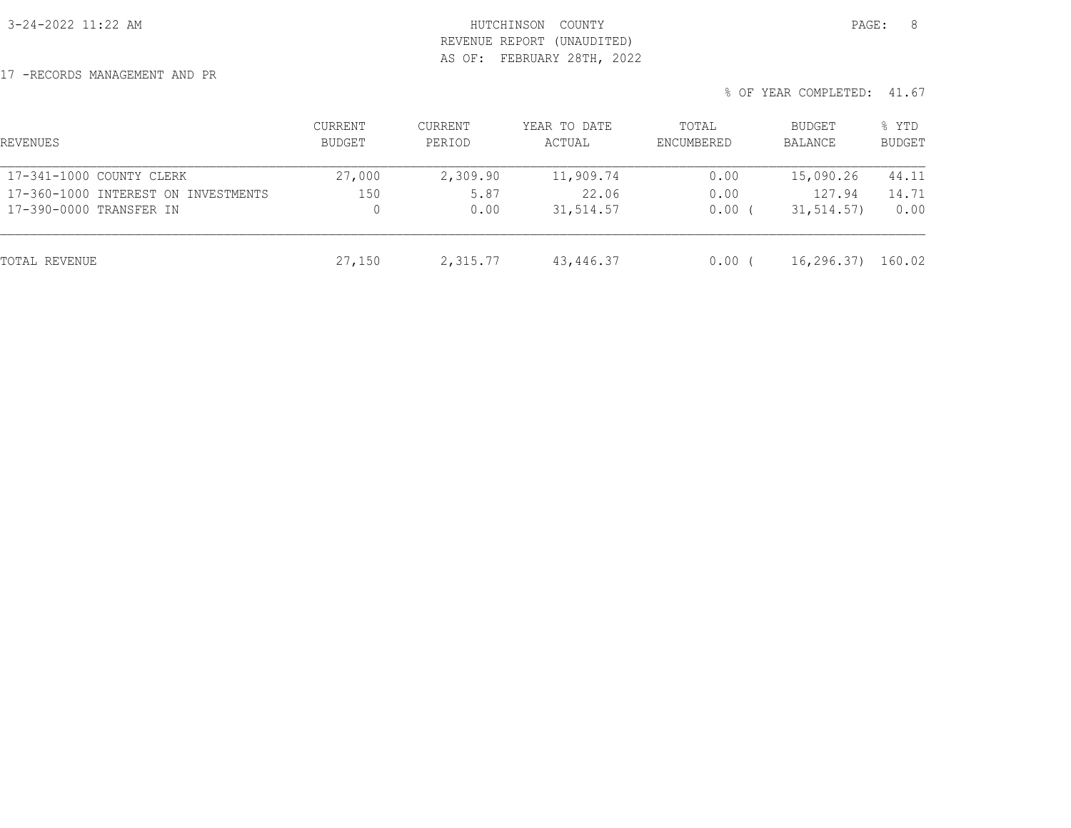## 3-24-2022 11:22 AM HUTCHINSON COUNTY PAGE: 8 REVENUE REPORT (UNAUDITED) AS OF: FEBRUARY 28TH, 2022

17 -RECORDS MANAGEMENT AND PR

| REVENUES                            | CURRENT<br>BUDGET | CURRENT<br>PERIOD | YEAR TO DATE<br>ACTUAL | TOTAL<br>ENCUMBERED | BUDGET<br>BALANCE | % YTD<br><b>BUDGET</b> |
|-------------------------------------|-------------------|-------------------|------------------------|---------------------|-------------------|------------------------|
| 17-341-1000 COUNTY CLERK            | 27,000            | 2,309.90          | 11,909.74              | 0.00                | 15,090.26         | 44.11                  |
| 17-360-1000 INTEREST ON INVESTMENTS | 150               | 5.87              | 22.06                  | 0.00                | 127.94            | 14.71                  |
| 17-390-0000 TRANSFER IN             |                   | 0.00              | 31,514.57              | 0.00                | 31, 514.57)       | 0.00                   |
| TOTAL REVENUE                       | 27,150            | 2,315.77          | 43,446.37              | 0.00                | 16, 296.37        | 160.02                 |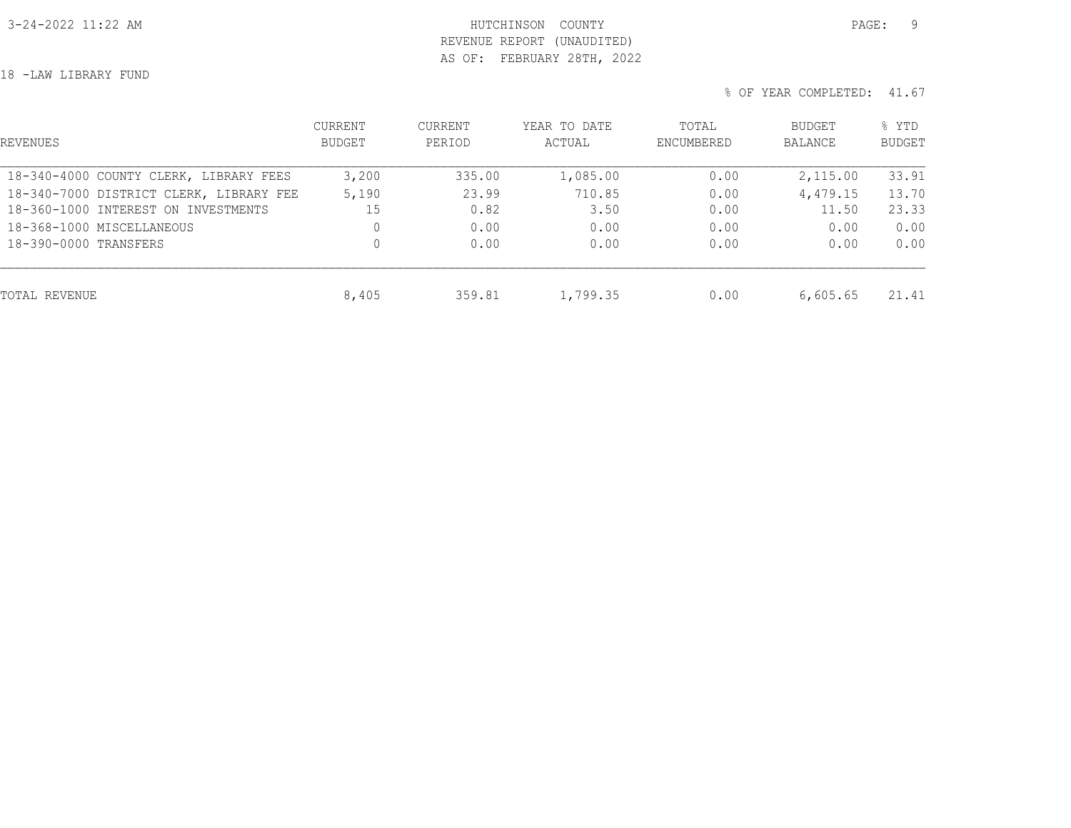## 3-24-2022 11:22 AM HUTCHINSON COUNTY PAGE: 9 REVENUE REPORT (UNAUDITED) AS OF: FEBRUARY 28TH, 2022

18 -LAW LIBRARY FUND

| REVENUES                                | CURRENT<br><b>BUDGET</b> | <b>CURRENT</b><br>PERIOD | YEAR TO DATE<br>ACTUAL | TOTAL<br>ENCUMBERED | BUDGET<br><b>BALANCE</b> | % YTD<br><b>BUDGET</b> |
|-----------------------------------------|--------------------------|--------------------------|------------------------|---------------------|--------------------------|------------------------|
| 18-340-4000 COUNTY CLERK, LIBRARY FEES  | 3,200                    | 335.00                   | 1,085.00               | 0.00                | 2,115.00                 | 33.91                  |
| 18-340-7000 DISTRICT CLERK, LIBRARY FEE | 5,190                    | 23.99                    | 710.85                 | 0.00                | 4,479.15                 | 13.70                  |
| 18-360-1000 INTEREST ON INVESTMENTS     | 15                       | 0.82                     | 3.50                   | 0.00                | 11.50                    | 23.33                  |
| 18-368-1000 MISCELLANEOUS               | 0                        | 0.00                     | 0.00                   | 0.00                | 0.00                     | 0.00                   |
| 18-390-0000 TRANSFERS                   | 0                        | 0.00                     | 0.00                   | 0.00                | 0.00                     | 0.00                   |
| TOTAL REVENUE                           | 8,405                    | 359.81                   | 1,799.35               | 0.00                | 6,605.65                 | 21.41                  |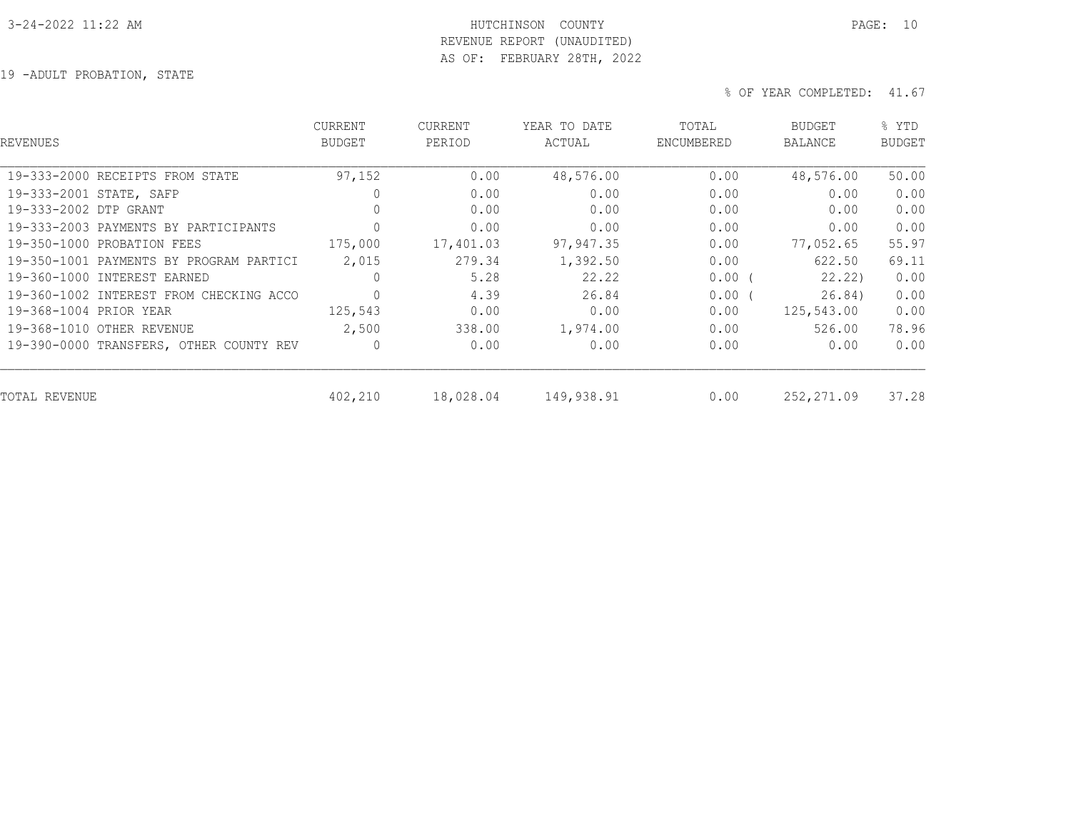#### 3-24-2022 11:22 AM HUTCHINSON COUNTY PAGE: 10 REVENUE REPORT (UNAUDITED)

AS OF: FEBRUARY 28TH, 2022

19 -ADULT PROBATION, STATE

| REVENUES                                | <b>CURRENT</b><br><b>BUDGET</b> | CURRENT<br>PERIOD | YEAR TO DATE<br>ACTUAL | TOTAL<br>ENCUMBERED | <b>BUDGET</b><br><b>BALANCE</b> | % YTD<br><b>BUDGET</b> |
|-----------------------------------------|---------------------------------|-------------------|------------------------|---------------------|---------------------------------|------------------------|
| 19-333-2000 RECEIPTS FROM STATE         | 97,152                          | 0.00              | 48,576.00              | 0.00                | 48,576.00                       | 50.00                  |
| 19-333-2001 STATE, SAFP                 |                                 | 0.00              | 0.00                   | 0.00                | 0.00                            | 0.00                   |
| 19-333-2002 DTP GRANT                   | 0                               | 0.00              | 0.00                   | 0.00                | 0.00                            | 0.00                   |
| 19-333-2003 PAYMENTS BY PARTICIPANTS    | 0                               | 0.00              | 0.00                   | 0.00                | 0.00                            | 0.00                   |
| 19-350-1000 PROBATION FEES              | 175,000                         | 17,401.03         | 97,947.35              | 0.00                | 77,052.65                       | 55.97                  |
| 19-350-1001 PAYMENTS BY PROGRAM PARTICI | 2,015                           | 279.34            | 1,392.50               | 0.00                | 622.50                          | 69.11                  |
| 19-360-1000 INTEREST EARNED             |                                 | 5.28              | 22.22                  | 0.00(               | 22.22)                          | 0.00                   |
| 19-360-1002 INTEREST FROM CHECKING ACCO | $\mathbf{0}$                    | 4.39              | 26.84                  | 0.00(               | 26.84)                          | 0.00                   |
| 19-368-1004 PRIOR YEAR                  | 125,543                         | 0.00              | 0.00                   | 0.00                | 125,543.00                      | 0.00                   |
| 19-368-1010 OTHER REVENUE               | 2,500                           | 338.00            | 1,974.00               | 0.00                | 526.00                          | 78.96                  |
| 19-390-0000 TRANSFERS, OTHER COUNTY REV |                                 | 0.00              | 0.00                   | 0.00                | 0.00                            | 0.00                   |
| TOTAL REVENUE                           | 402,210                         | 18,028.04         | 149,938.91             | 0.00                | 252,271.09                      | 37.28                  |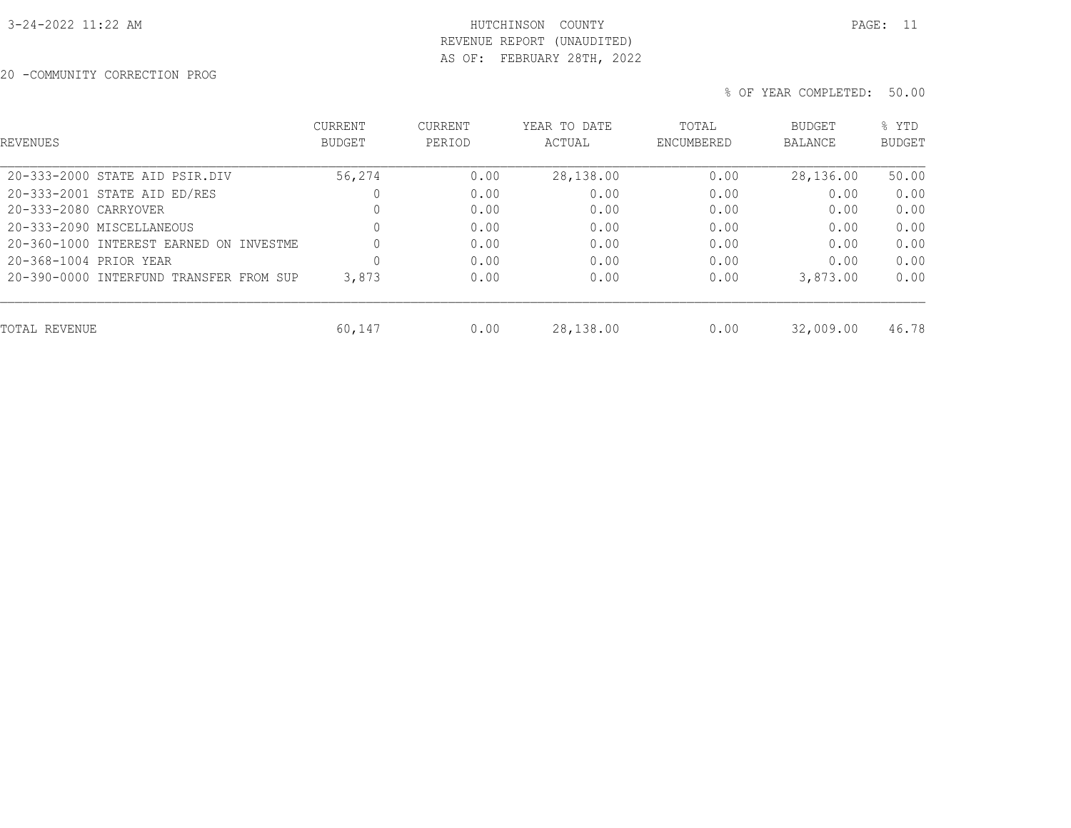## 3-24-2022 11:22 AM HUTCHINSON COUNTY PAGE: 11 REVENUE REPORT (UNAUDITED) AS OF: FEBRUARY 28TH, 2022

20 -COMMUNITY CORRECTION PROG

| <b>REVENUES</b>                         | <b>CURRENT</b><br><b>BUDGET</b> | <b>CURRENT</b><br>PERIOD | YEAR TO DATE<br>ACTUAL | TOTAL<br>ENCUMBERED | <b>BUDGET</b><br><b>BALANCE</b> | % YTD<br><b>BUDGET</b> |
|-----------------------------------------|---------------------------------|--------------------------|------------------------|---------------------|---------------------------------|------------------------|
| 20-333-2000 STATE AID PSIR.DIV          | 56,274                          | 0.00                     | 28,138.00              | 0.00                | 28,136.00                       | 50.00                  |
| 20-333-2001 STATE AID ED/RES            | 0                               | 0.00                     | 0.00                   | 0.00                | 0.00                            | 0.00                   |
| 20-333-2080 CARRYOVER                   | 0                               | 0.00                     | 0.00                   | 0.00                | 0.00                            | 0.00                   |
| 20-333-2090 MISCELLANEOUS               | $\mathbf{0}$                    | 0.00                     | 0.00                   | 0.00                | 0.00                            | 0.00                   |
| 20-360-1000 INTEREST EARNED ON INVESTME | 0                               | 0.00                     | 0.00                   | 0.00                | 0.00                            | 0.00                   |
| 20-368-1004 PRIOR YEAR                  | 0                               | 0.00                     | 0.00                   | 0.00                | 0.00                            | 0.00                   |
| 20-390-0000 INTERFUND TRANSFER FROM SUP | 3,873                           | 0.00                     | 0.00                   | 0.00                | 3,873.00                        | 0.00                   |
| TOTAL REVENUE                           | 60,147                          | 0.00                     | 28,138.00              | 0.00                | 32,009.00                       | 46.78                  |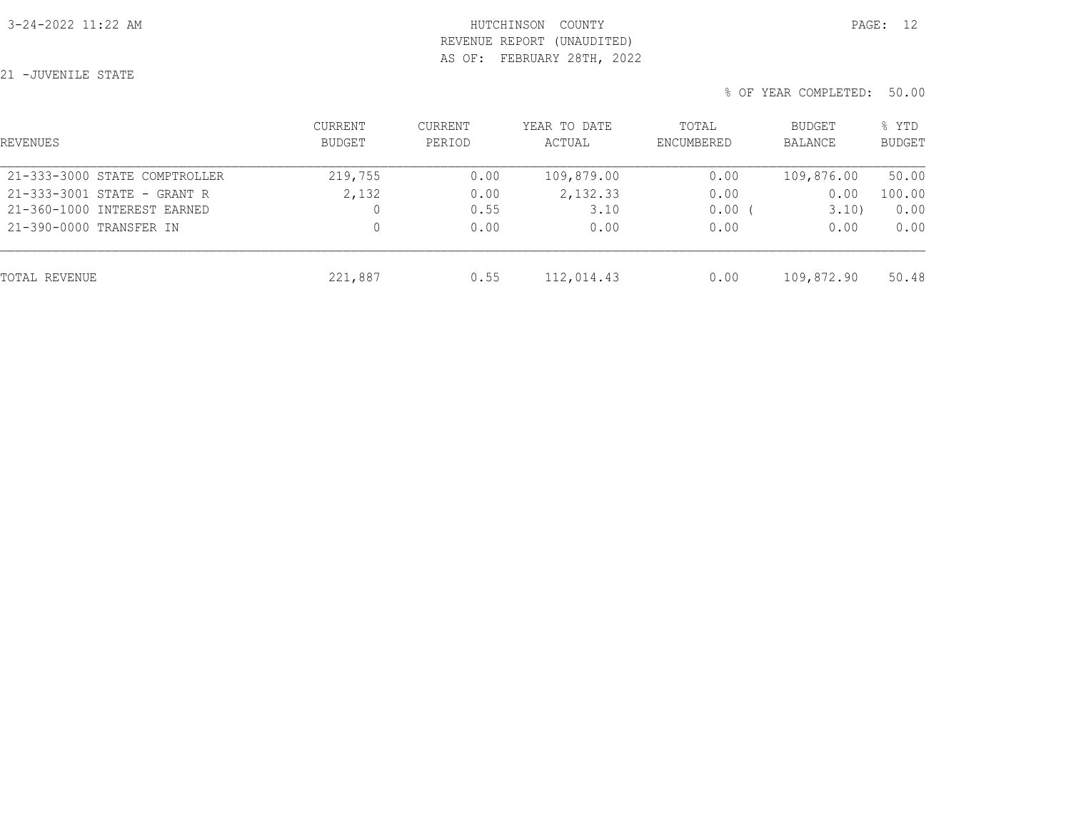## 3-24-2022 11:22 AM HUTCHINSON COUNTY PAGE: 12 REVENUE REPORT (UNAUDITED) AS OF: FEBRUARY 28TH, 2022

21 -JUVENILE STATE

| REVENUES                      | <b>CURRENT</b><br>BUDGET | CURRENT<br>PERIOD | YEAR TO DATE<br>ACTUAL | TOTAL<br>ENCUMBERED | BUDGET<br>BALANCE | % YTD<br><b>BUDGET</b> |
|-------------------------------|--------------------------|-------------------|------------------------|---------------------|-------------------|------------------------|
| 21-333-3000 STATE COMPTROLLER | 219,755                  | 0.00              | 109,879.00             | 0.00                | 109,876.00        | 50.00                  |
| 21-333-3001 STATE - GRANT R   | 2,132                    | 0.00              | 2,132.33               | 0.00                | 0.00              | 100.00                 |
| 21-360-1000 INTEREST EARNED   | 0                        | 0.55              | 3.10                   | 0.00                | 3.10)             | 0.00                   |
| 21-390-0000 TRANSFER IN       | 0                        | 0.00              | 0.00                   | 0.00                | 0.00              | 0.00                   |
| TOTAL REVENUE                 | 221,887                  | 0.55              | 112,014.43             | 0.00                | 109,872.90        | 50.48                  |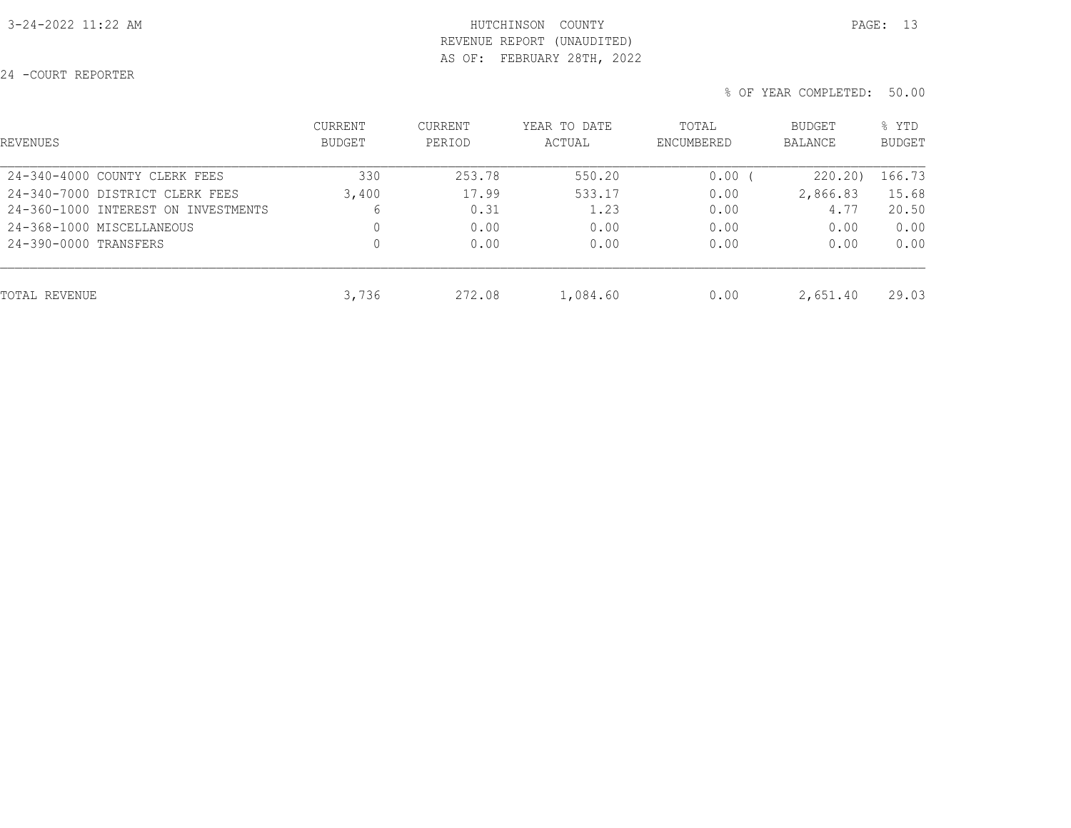## 3-24-2022 11:22 AM HUTCHINSON COUNTY PAGE: 13 REVENUE REPORT (UNAUDITED) AS OF: FEBRUARY 28TH, 2022

24 -COURT REPORTER

| REVENUES                            | <b>CURRENT</b><br><b>BUDGET</b> | <b>CURRENT</b><br>PERIOD | YEAR TO DATE<br>ACTUAL | TOTAL<br>ENCUMBERED | <b>BUDGET</b><br>BALANCE | % YTD<br><b>BUDGET</b> |
|-------------------------------------|---------------------------------|--------------------------|------------------------|---------------------|--------------------------|------------------------|
| 24-340-4000 COUNTY CLERK FEES       | 330                             | 253.78                   | 550.20                 | 0.00                | 220.20)                  | 166.73                 |
| 24-340-7000 DISTRICT CLERK FEES     | 3,400                           | 17.99                    | 533.17                 | 0.00                | 2,866.83                 | 15.68                  |
| 24-360-1000 INTEREST ON INVESTMENTS | 6                               | 0.31                     | 1.23                   | 0.00                | 4.77                     | 20.50                  |
| 24-368-1000 MISCELLANEOUS           | 0                               | 0.00                     | 0.00                   | 0.00                | 0.00                     | 0.00                   |
| 24-390-0000 TRANSFERS               | $\mathbf 0$                     | 0.00                     | 0.00                   | 0.00                | 0.00                     | 0.00                   |
| TOTAL REVENUE                       | 3,736                           | 272.08                   | 1,084.60               | 0.00                | 2,651.40                 | 29.03                  |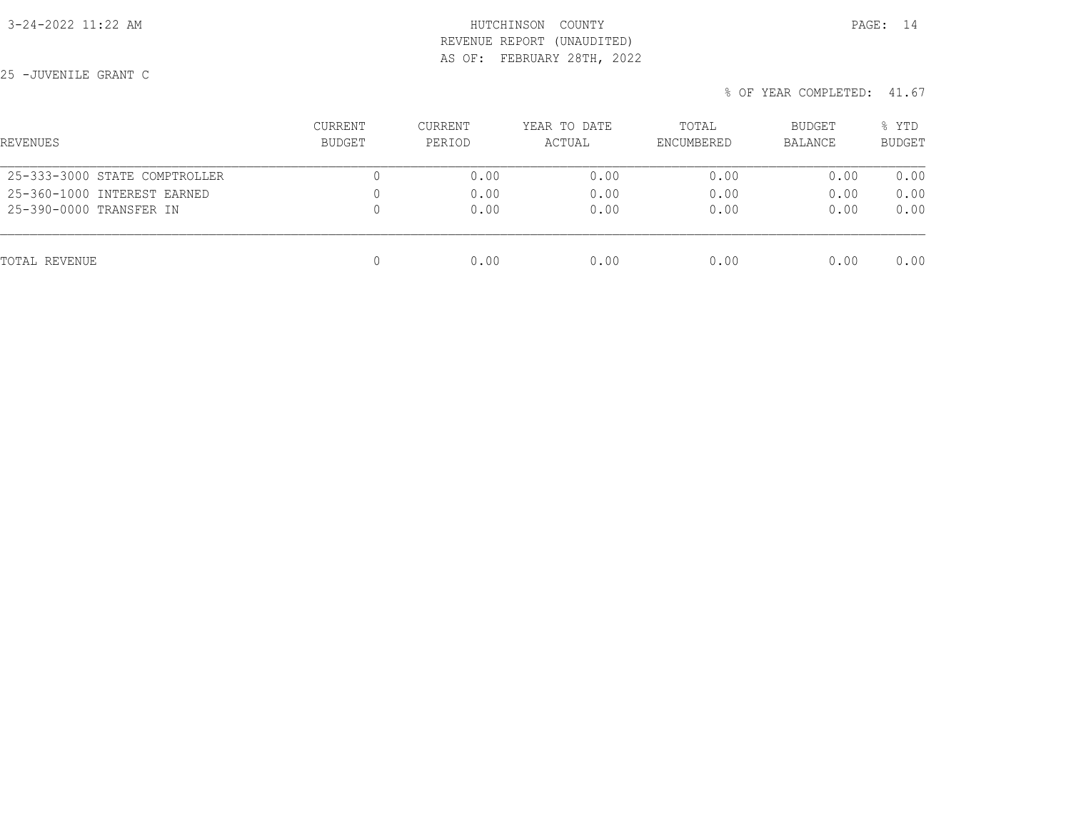## 3-24-2022 11:22 AM HUTCHINSON COUNTY PAGE: 14 REVENUE REPORT (UNAUDITED) AS OF: FEBRUARY 28TH, 2022

25 -JUVENILE GRANT C

| REVENUES                      | CURRENT<br><b>BUDGET</b> | CURRENT<br>PERIOD | YEAR TO DATE<br>ACTUAL | TOTAL<br>ENCUMBERED | BUDGET<br>BALANCE | % YTD<br><b>BUDGET</b> |
|-------------------------------|--------------------------|-------------------|------------------------|---------------------|-------------------|------------------------|
| 25-333-3000 STATE COMPTROLLER |                          | 0.00              | 0.00                   | 0.00                | 0.00              | 0.00                   |
| 25-360-1000 INTEREST EARNED   | 0                        | 0.00              | 0.00                   | 0.00                | 0.00              | 0.00                   |
| 25-390-0000 TRANSFER IN       | 0                        | 0.00              | 0.00                   | 0.00                | 0.00              | 0.00                   |
| TOTAL REVENUE                 | 0                        | 0.00              | 0.00                   | 0.00                | 0.00              | 0.00                   |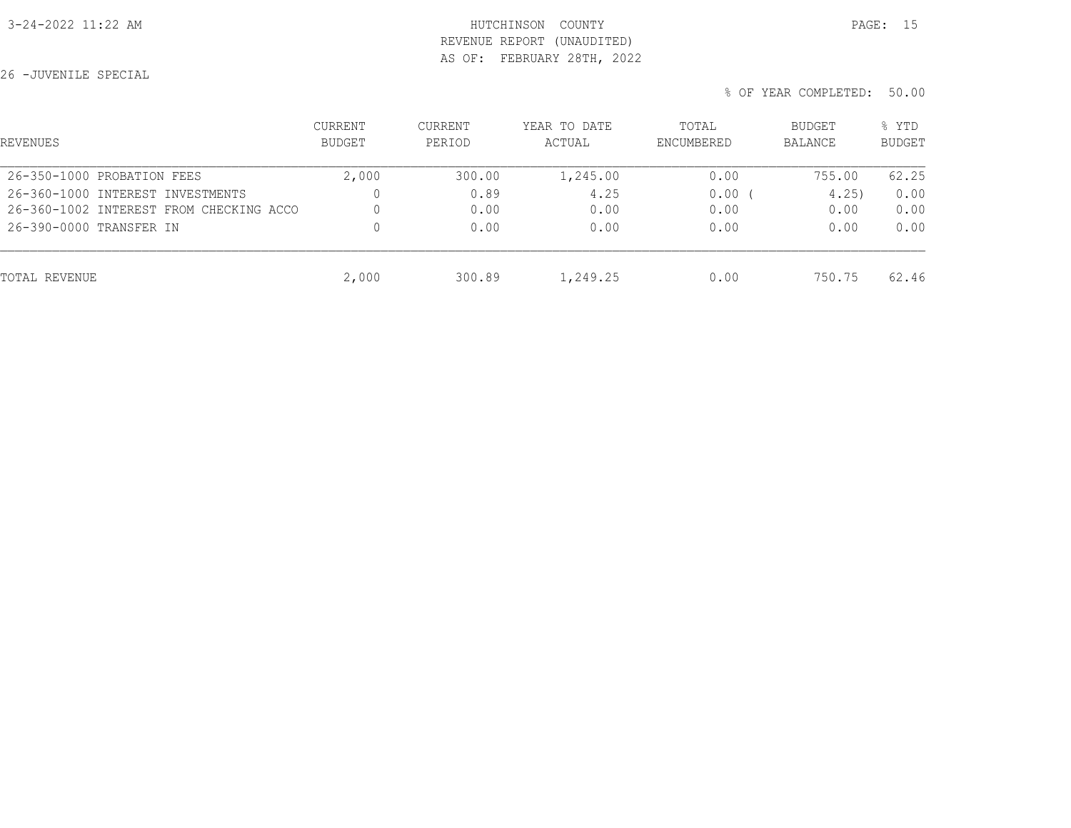## 3-24-2022 11:22 AM HUTCHINSON COUNTY PAGE: 15 REVENUE REPORT (UNAUDITED) AS OF: FEBRUARY 28TH, 2022

26 -JUVENILE SPECIAL

| REVENUES                                | <b>CURRENT</b><br><b>BUDGET</b> | CURRENT<br>PERIOD | YEAR TO DATE<br>ACTUAL | TOTAL<br>ENCUMBERED | BUDGET<br>BALANCE | % YTD<br><b>BUDGET</b> |
|-----------------------------------------|---------------------------------|-------------------|------------------------|---------------------|-------------------|------------------------|
| 26-350-1000 PROBATION FEES              | 2,000                           | 300.00            | 1,245.00               | 0.00                | 755.00            | 62.25                  |
| 26-360-1000 INTEREST INVESTMENTS        |                                 | 0.89              | 4.25                   | 0.00                | 4.25              | 0.00                   |
| 26-360-1002 INTEREST FROM CHECKING ACCO |                                 | 0.00              | 0.00                   | 0.00                | 0.00              | 0.00                   |
| 26-390-0000 TRANSFER IN                 | $\Omega$                        | 0.00              | 0.00                   | 0.00                | 0.00              | 0.00                   |
| TOTAL REVENUE                           | 2,000                           | 300.89            | 1,249.25               | 0.00                | 750.75            | 62.46                  |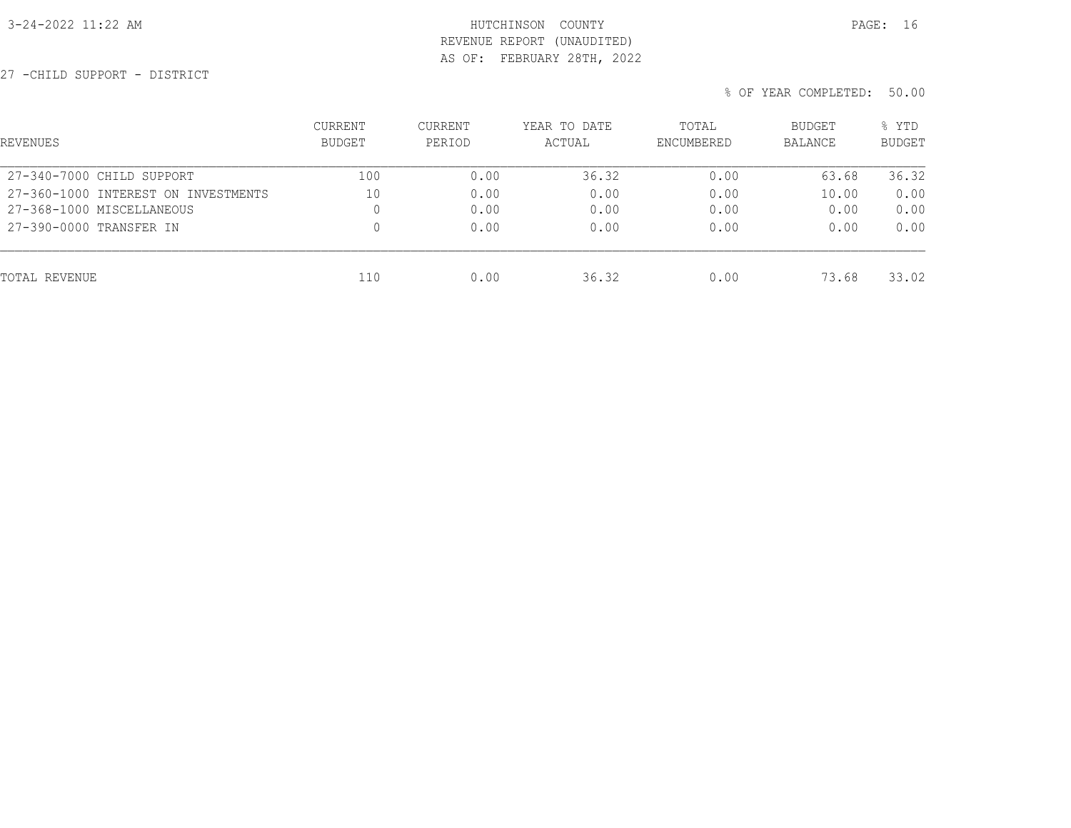## 3-24-2022 11:22 AM HUTCHINSON COUNTY PAGE: 16 REVENUE REPORT (UNAUDITED) AS OF: FEBRUARY 28TH, 2022

27 -CHILD SUPPORT - DISTRICT

| REVENUES                            | <b>CURRENT</b><br><b>BUDGET</b> | <b>CURRENT</b><br>PERIOD | YEAR TO DATE<br>ACTUAL | TOTAL<br>ENCUMBERED | <b>BUDGET</b><br><b>BALANCE</b> | % YTD<br><b>BUDGET</b> |
|-------------------------------------|---------------------------------|--------------------------|------------------------|---------------------|---------------------------------|------------------------|
| 27-340-7000 CHILD SUPPORT           | 100                             | 0.00                     | 36.32                  | 0.00                | 63.68                           | 36.32                  |
| 27-360-1000 INTEREST ON INVESTMENTS | 10                              | 0.00                     | 0.00                   | 0.00                | 10.00                           | 0.00                   |
| 27-368-1000 MISCELLANEOUS           | 0                               | 0.00                     | 0.00                   | 0.00                | 0.00                            | 0.00                   |
| 27-390-0000 TRANSFER IN             | 0                               | 0.00                     | 0.00                   | 0.00                | 0.00                            | 0.00                   |
| TOTAL REVENUE                       | 110                             | 0.00                     | 36.32                  | 0.00                | 73.68                           | 33.02                  |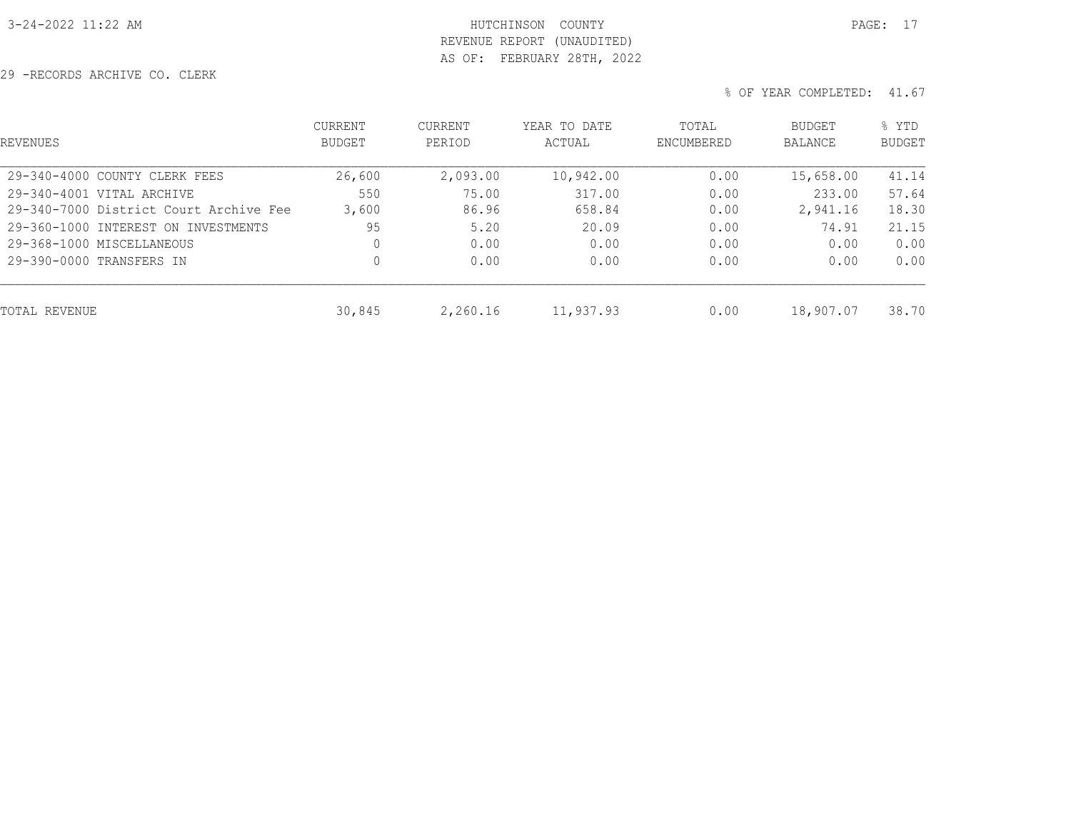# 3-24-2022 11:22 AM HUTCHINSON COUNTY PAGE: 17 REVENUE REPORT (UNAUDITED) AS OF: FEBRUARY 28TH, 2022

29 -RECORDS ARCHIVE CO. CLERK

| <b>REVENUES</b>                        | <b>CURRENT</b><br><b>BUDGET</b> | CURRENT<br>PERIOD | YEAR TO DATE<br>ACTUAL | TOTAL<br><b>ENCUMBERED</b> | BUDGET<br><b>BALANCE</b> | % YTD<br><b>BUDGET</b> |
|----------------------------------------|---------------------------------|-------------------|------------------------|----------------------------|--------------------------|------------------------|
| 29-340-4000 COUNTY CLERK FEES          | 26,600                          | 2,093.00          | 10,942.00              | 0.00                       | 15,658.00                | 41.14                  |
| 29-340-4001 VITAL ARCHIVE              | 550                             | 75.00             | 317.00                 | 0.00                       | 233.00                   | 57.64                  |
| 29-340-7000 District Court Archive Fee | 3,600                           | 86.96             | 658.84                 | 0.00                       | 2,941.16                 | 18.30                  |
| 29-360-1000 INTEREST ON INVESTMENTS    | 95                              | 5.20              | 20.09                  | 0.00                       | 74.91                    | 21.15                  |
| 29-368-1000 MISCELLANEOUS              | 0                               | 0.00              | 0.00                   | 0.00                       | 0.00                     | 0.00                   |
| 29-390-0000 TRANSFERS IN               | 0                               | 0.00              | 0.00                   | 0.00                       | 0.00                     | 0.00                   |
| TOTAL REVENUE                          | 30,845                          | 2,260.16          | 11,937.93              | 0.00                       | 18,907.07                | 38.70                  |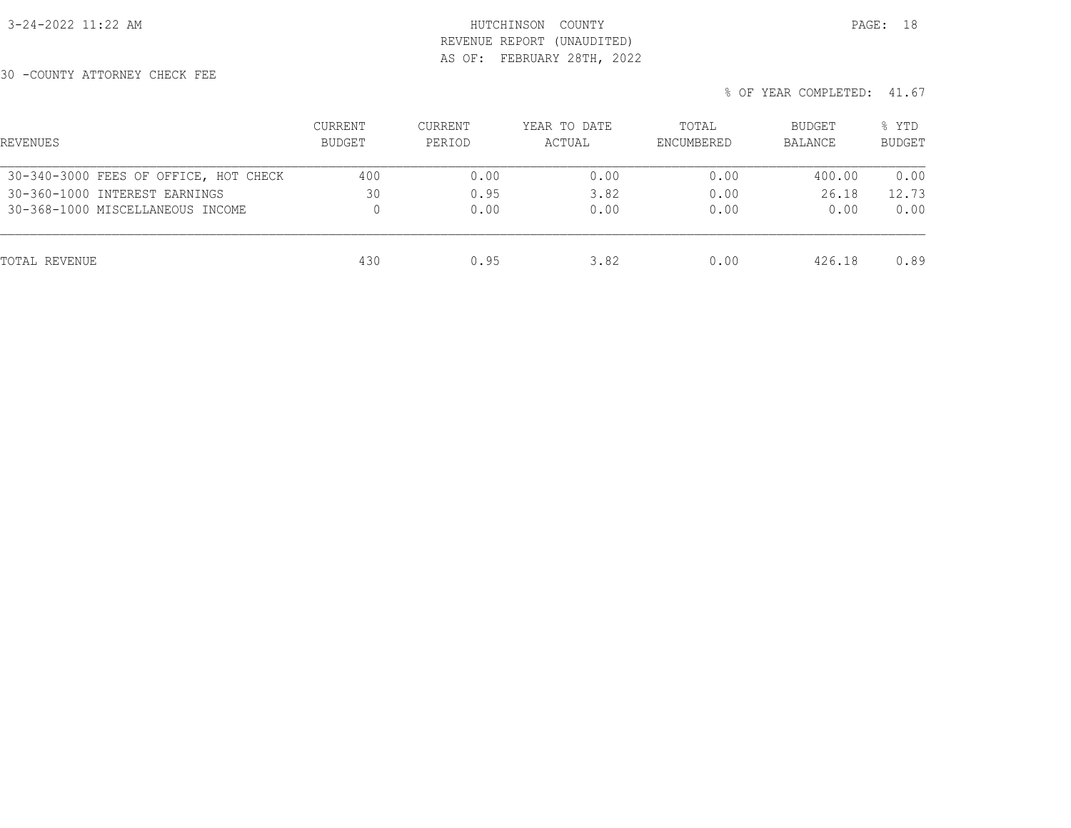## 3-24-2022 11:22 AM HUTCHINSON COUNTY PAGE: 18 REVENUE REPORT (UNAUDITED) AS OF: FEBRUARY 28TH, 2022

30 -COUNTY ATTORNEY CHECK FEE

|  | % OF YEAR COMPLETED: 41.67 |  |
|--|----------------------------|--|

| REVENUES                              | <b>CURRENT</b><br>BUDGET | CURRENT<br>PERIOD | YEAR TO DATE<br>ACTUAL | TOTAL<br>ENCUMBERED | <b>BUDGET</b><br>BALANCE | % YTD<br><b>BUDGET</b> |
|---------------------------------------|--------------------------|-------------------|------------------------|---------------------|--------------------------|------------------------|
| 30-340-3000 FEES OF OFFICE, HOT CHECK | 400                      | 0.00              | 0.00                   | 0.00                | 400.00                   | 0.00                   |
| 30-360-1000 INTEREST EARNINGS         | 30                       | 0.95              | 3.82                   | 0.00                | 26.18                    | 12.73                  |
| 30-368-1000 MISCELLANEOUS INCOME      | 0                        | 0.00              | 0.00                   | 0.00                | 0.00                     | 0.00                   |
| TOTAL REVENUE                         | 430                      | 0.95              | 3.82                   | 0.00                | 426.18                   | 0.89                   |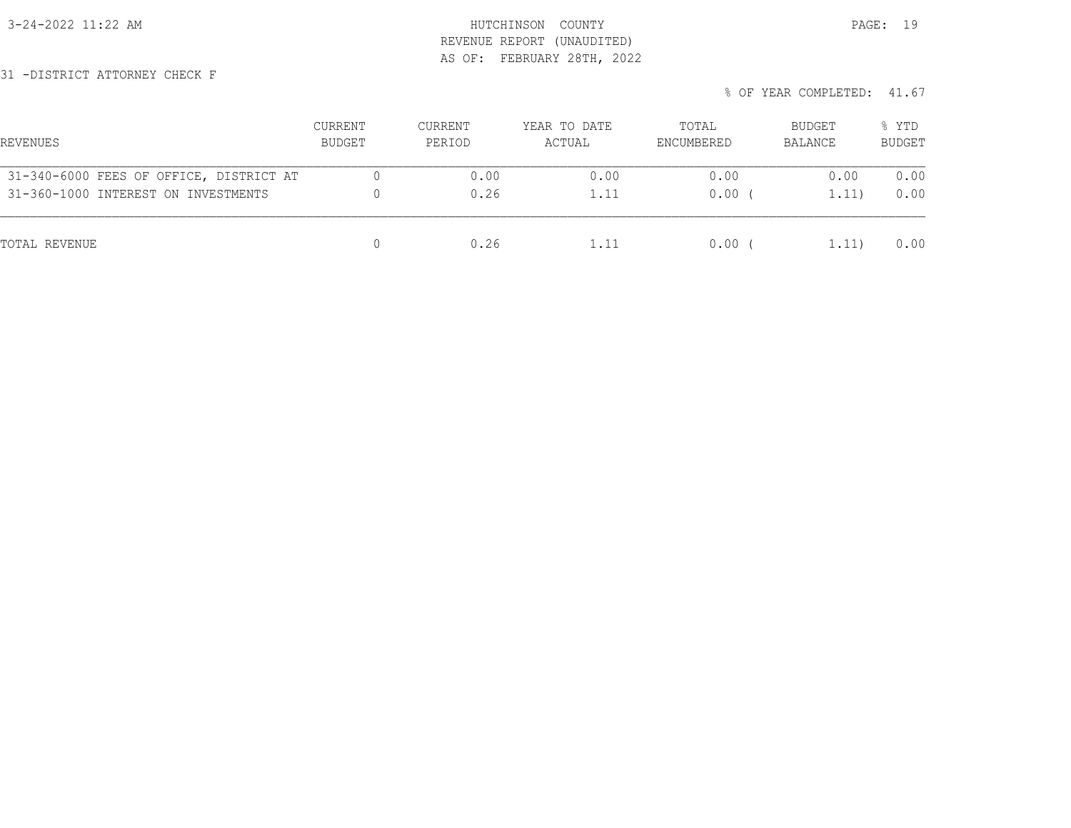3-24-2022 11:22 AM HUTCHINSON COUNTY PAGE: 19 REVENUE REPORT (UNAUDITED) AS OF: FEBRUARY 28TH, 2022

31 -DISTRICT ATTORNEY CHECK F

| % OF YEAR COMPLETED: 41.67 |  |
|----------------------------|--|
|----------------------------|--|

| REVENUES                                | CURRENT<br>BUDGET | CURRENT<br>PERIOD | YEAR TO DATE<br>ACTUAL | TOTAL<br>ENCUMBERED | BUDGET<br>BALANCE | % YTD<br><b>BUDGET</b> |
|-----------------------------------------|-------------------|-------------------|------------------------|---------------------|-------------------|------------------------|
| 31-340-6000 FEES OF OFFICE, DISTRICT AT |                   | 0.00              | 0.00                   | 0.00                | 0.00              | 0.00                   |
| 31-360-1000 INTEREST ON INVESTMENTS     |                   | 0.26              | 1.11                   | 0.00                | 1.11)             | 0.00                   |
| TOTAL REVENUE                           |                   | 0.26              | 1.11                   | 0.00                | 1,11)             | 0.00                   |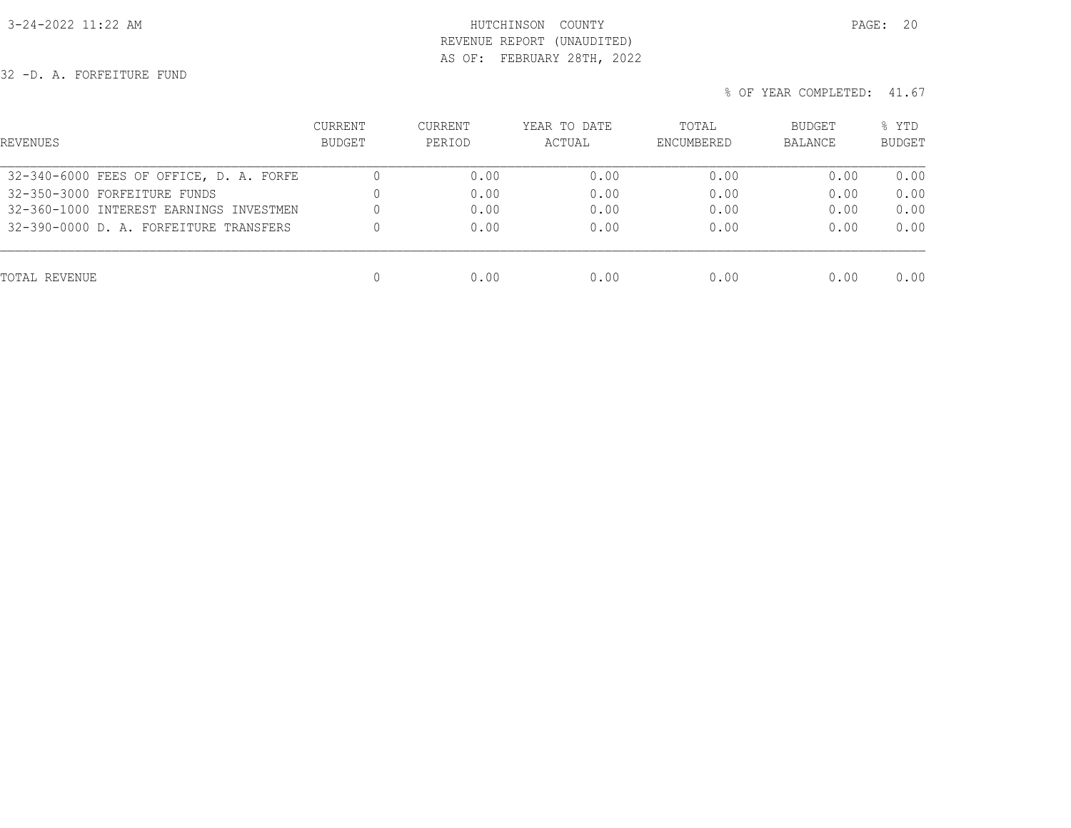## 3-24-2022 11:22 AM HUTCHINSON COUNTY PAGE: 20 REVENUE REPORT (UNAUDITED) AS OF: FEBRUARY 28TH, 2022

32 -D. A. FORFEITURE FUND

| REVENUES                                | CURRENT<br><b>BUDGET</b> | <b>CURRENT</b><br>PERIOD | YEAR TO DATE<br>ACTUAL | TOTAL<br>ENCUMBERED | BUDGET<br>BALANCE | % YTD<br><b>BUDGET</b> |
|-----------------------------------------|--------------------------|--------------------------|------------------------|---------------------|-------------------|------------------------|
| 32-340-6000 FEES OF OFFICE, D. A. FORFE |                          | 0.00                     | 0.00                   | 0.00                | 0.00              | 0.00                   |
| 32-350-3000 FORFEITURE FUNDS            |                          | 0.00                     | 0.00                   | 0.00                | 0.00              | 0.00                   |
| 32-360-1000 INTEREST EARNINGS INVESTMEN |                          | 0.00                     | 0.00                   | 0.00                | 0.00              | 0.00                   |
| 32-390-0000 D. A. FORFEITURE TRANSFERS  |                          | 0.00                     | 0.00                   | 0.00                | 0.00              | 0.00                   |
| TOTAL REVENUE                           | 0                        | 0.00                     | 0.00                   | 0.00                | 0.00              | 0.00                   |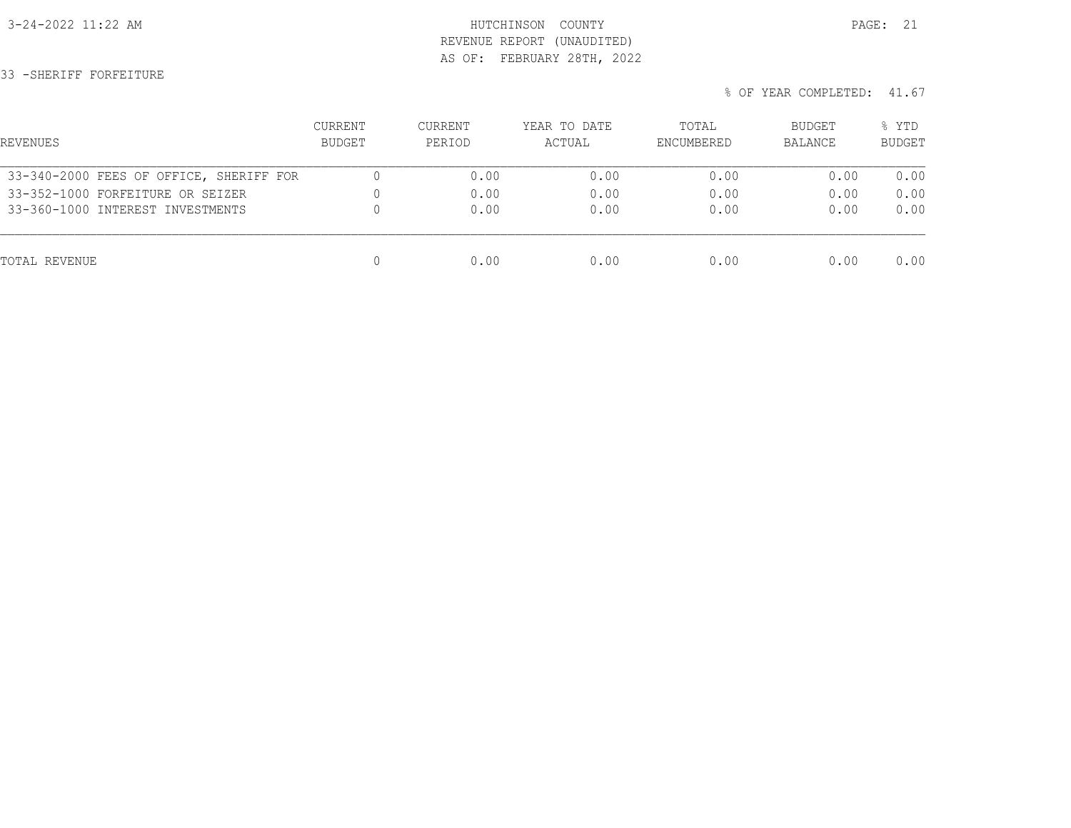## 3-24-2022 11:22 AM HUTCHINSON COUNTY PAGE: 21 REVENUE REPORT (UNAUDITED) AS OF: FEBRUARY 28TH, 2022

33 -SHERIFF FORFEITURE

| REVENUES                                | CURRENT<br>BUDGET | CURRENT<br>PERIOD | YEAR TO DATE<br>ACTUAL | TOTAL<br>ENCUMBERED | BUDGET<br>BALANCE | % YTD<br><b>BUDGET</b> |
|-----------------------------------------|-------------------|-------------------|------------------------|---------------------|-------------------|------------------------|
| 33-340-2000 FEES OF OFFICE, SHERIFF FOR |                   | 0.00              | 0.00                   | 0.00                | 0.00              | 0.00                   |
| 33-352-1000 FORFEITURE OR SEIZER        |                   | 0.00              | 0.00                   | 0.00                | 0.00              | 0.00                   |
| 33-360-1000 INTEREST INVESTMENTS        |                   | 0.00              | 0.00                   | 0.00                | 0.00              | 0.00                   |
| TOTAL REVENUE                           |                   | 0.00              | 0.00                   | 0.00                | 0.00              | 0.00                   |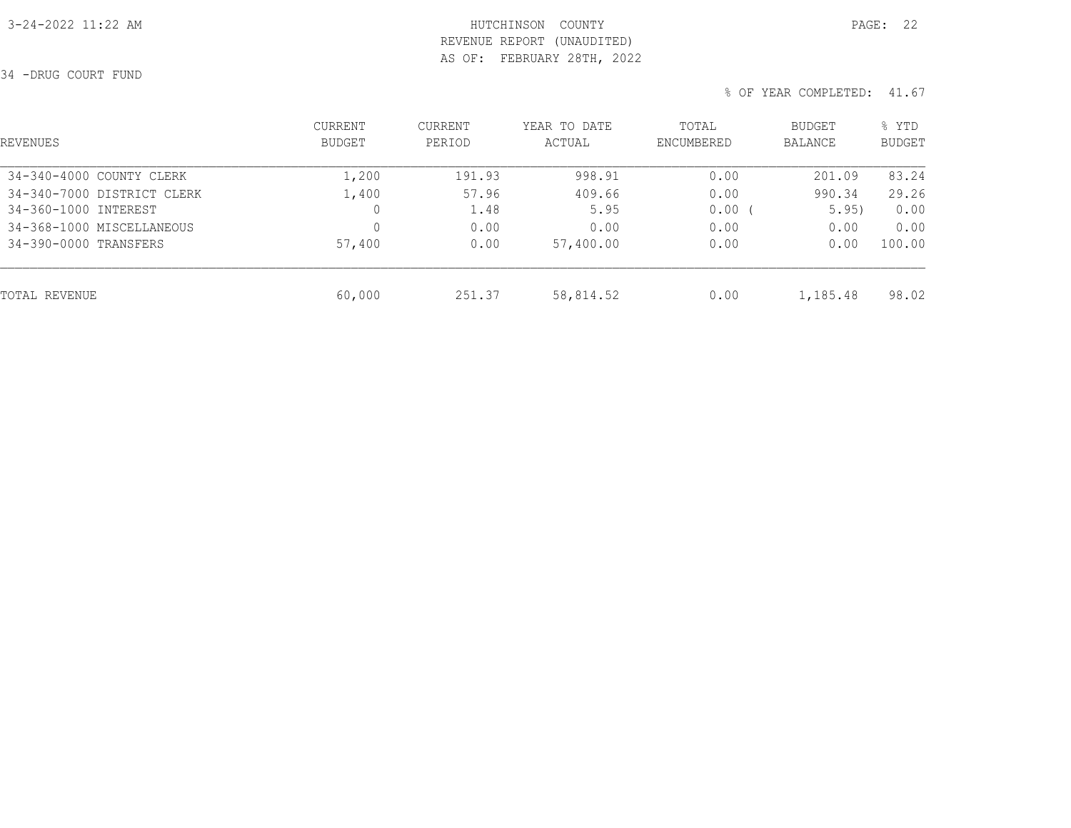## 3-24-2022 11:22 AM HUTCHINSON COUNTY PAGE: 22 REVENUE REPORT (UNAUDITED) AS OF: FEBRUARY 28TH, 2022

34 -DRUG COURT FUND

| REVENUES                   | CURRENT<br>BUDGET | <b>CURRENT</b><br>PERIOD | YEAR TO DATE<br>ACTUAL | TOTAL<br>ENCUMBERED | BUDGET<br>BALANCE | % YTD<br><b>BUDGET</b> |
|----------------------------|-------------------|--------------------------|------------------------|---------------------|-------------------|------------------------|
| 34-340-4000 COUNTY CLERK   | 1,200             | 191.93                   | 998.91                 | 0.00                | 201.09            | 83.24                  |
| 34-340-7000 DISTRICT CLERK | 1,400             | 57.96                    | 409.66                 | 0.00                | 990.34            | 29.26                  |
| 34-360-1000 INTEREST       | 0                 | 1.48                     | 5.95                   | $0.00$ (            | 5.95)             | 0.00                   |
| 34-368-1000 MISCELLANEOUS  |                   | 0.00                     | 0.00                   | 0.00                | 0.00              | 0.00                   |
| 34-390-0000 TRANSFERS      | 57,400            | 0.00                     | 57,400.00              | 0.00                | 0.00              | 100.00                 |
| TOTAL REVENUE              | 60,000            | 251.37                   | 58,814.52              | 0.00                | 1,185.48          | 98.02                  |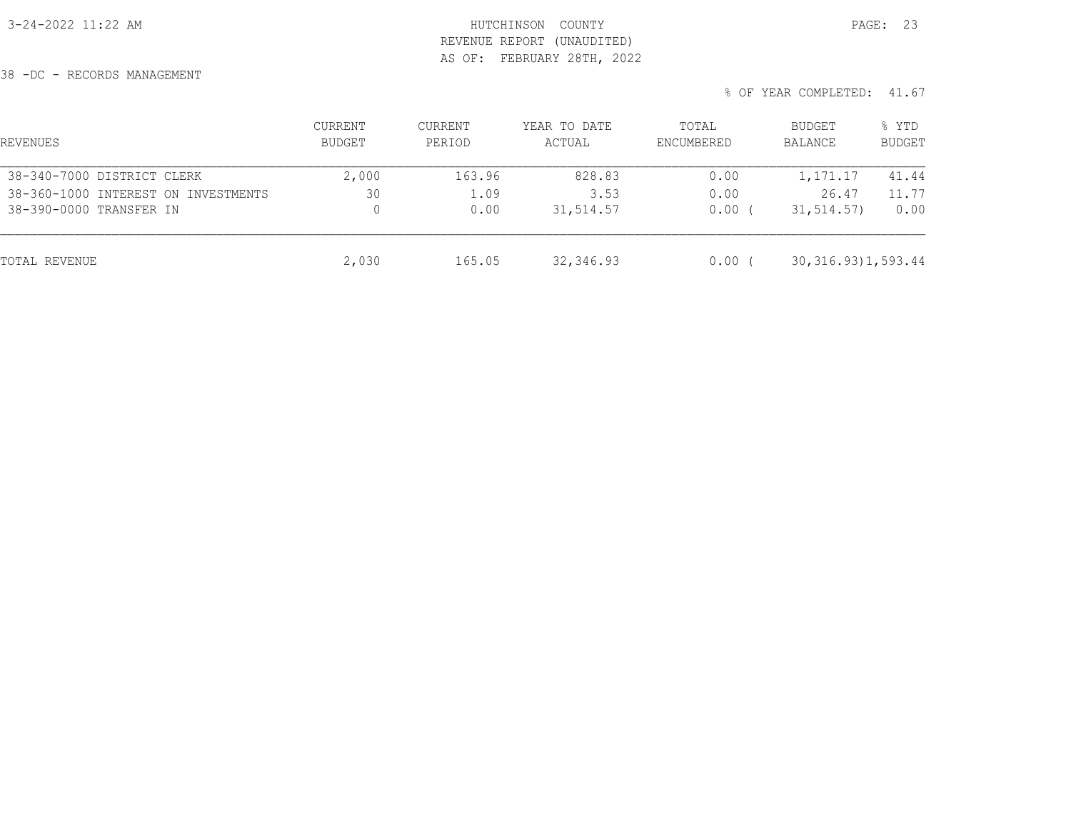## 3-24-2022 11:22 AM HUTCHINSON COUNTY PAGE: 23 REVENUE REPORT (UNAUDITED) AS OF: FEBRUARY 28TH, 2022

38 -DC - RECORDS MANAGEMENT

| REVENUES                            | CURRENT<br>BUDGET | CURRENT<br>PERIOD | YEAR TO DATE<br>ACTUAL | TOTAL<br>ENCUMBERED | <b>BUDGET</b><br>BALANCE | % YTD<br><b>BUDGET</b> |
|-------------------------------------|-------------------|-------------------|------------------------|---------------------|--------------------------|------------------------|
| 38-340-7000 DISTRICT CLERK          | 2,000             | 163.96            | 828.83                 | 0.00                | 1,171.17                 | 41.44                  |
| 38-360-1000 INTEREST ON INVESTMENTS | 30                | 1.09              | 3.53                   | 0.00                | 26.47                    | 11.77                  |
| 38-390-0000 TRANSFER IN             |                   | 0.00              | 31,514.57              | 0.00                | 31, 514.57)              | 0.00                   |
| TOTAL REVENUE                       | 2,030             | 165.05            | 32,346.93              | 0.00                | 30, 316. 93) 1, 593. 44  |                        |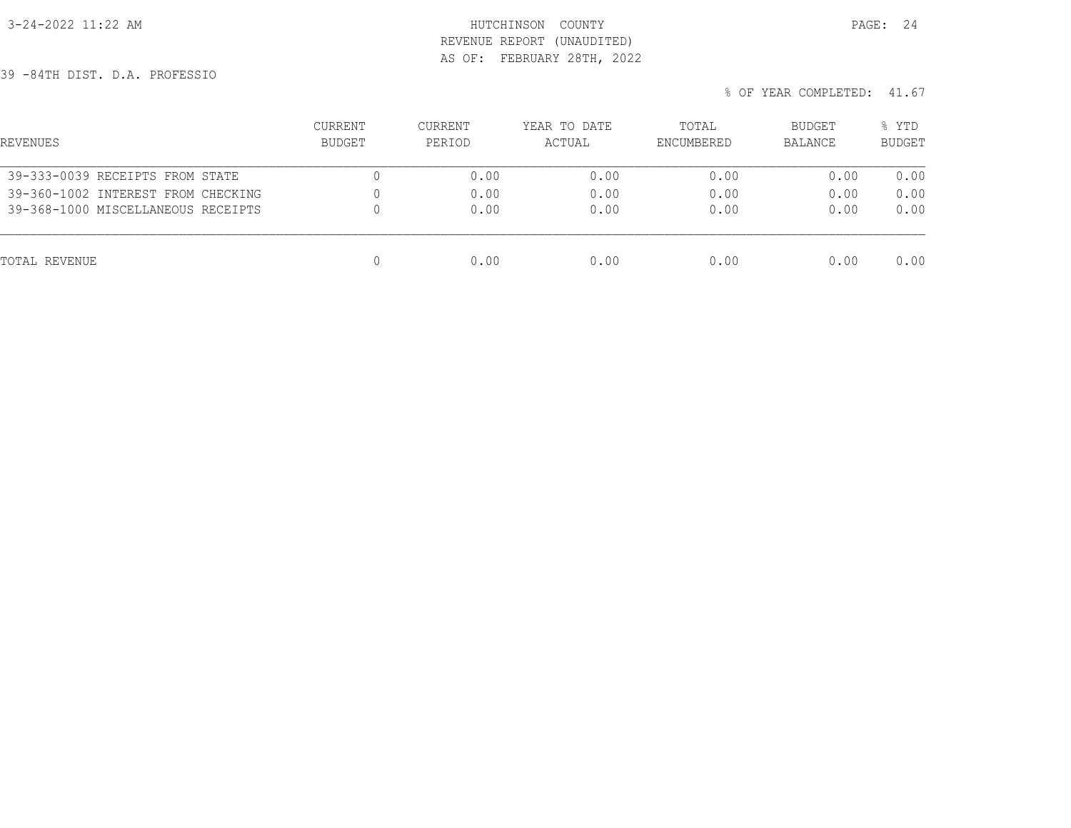## 3-24-2022 11:22 AM **HUTCHINSON** COUNTY REVENUE REPORT (UNAUDITED) AS OF: FEBRUARY 28TH, 2022

39 -84TH DIST. D.A. PROFESSIO

| REVENUES                           | <b>CURRENT</b><br>BUDGET | <b>CURRENT</b><br>PERIOD | YEAR TO DATE<br>ACTUAL | TOTAL<br>ENCUMBERED | <b>BUDGET</b><br>BALANCE | % YTD<br><b>BUDGET</b> |
|------------------------------------|--------------------------|--------------------------|------------------------|---------------------|--------------------------|------------------------|
| 39-333-0039 RECEIPTS FROM STATE    | U                        | 0.00                     | 0.00                   | 0.00                | 0.00                     | 0.00                   |
| 39-360-1002 INTEREST FROM CHECKING | 0                        | 0.00                     | 0.00                   | 0.00                | 0.00                     | 0.00                   |
| 39-368-1000 MISCELLANEOUS RECEIPTS | 0                        | 0.00                     | 0.00                   | 0.00                | 0.00                     | 0.00                   |
| TOTAL REVENUE                      | 0                        | 0.00                     | 0.00                   | 0.00                | 0.00                     | 0.00                   |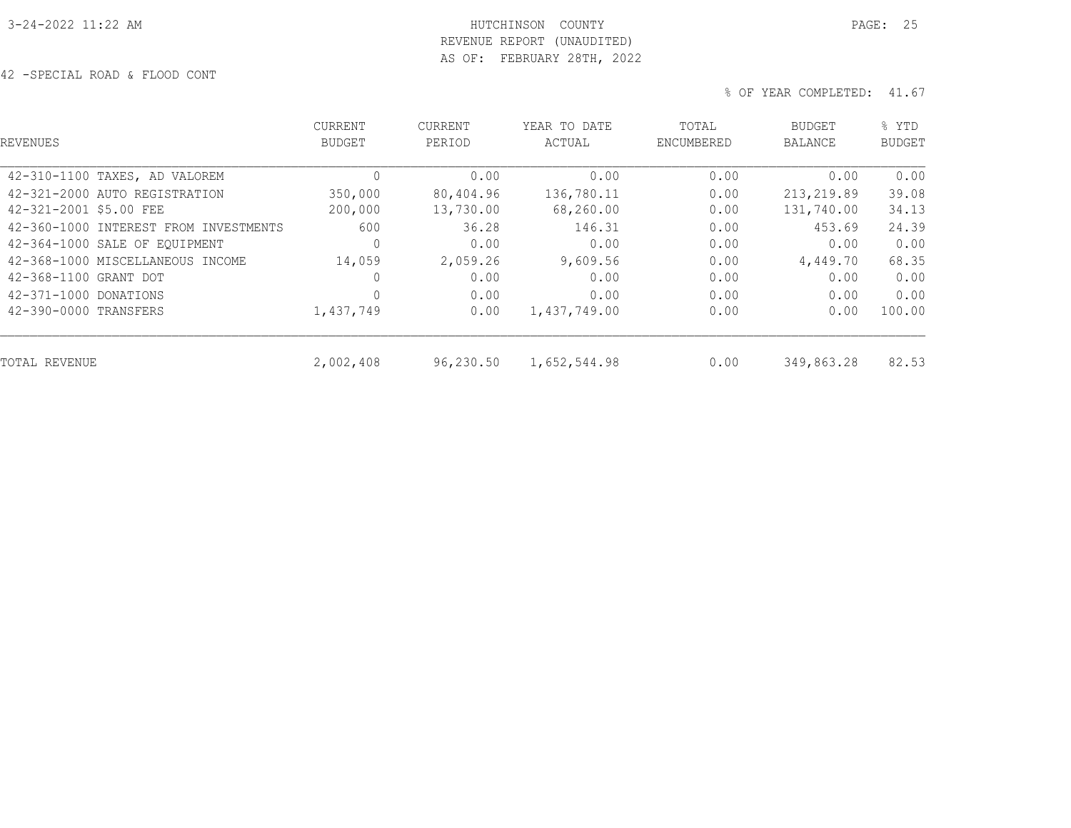# 3-24-2022 11:22 AM HUTCHINSON COUNTY PAGE: 25 REVENUE REPORT (UNAUDITED) AS OF: FEBRUARY 28TH, 2022

42 -SPECIAL ROAD & FLOOD CONT

| REVENUES                              | <b>CURRENT</b><br><b>BUDGET</b> | <b>CURRENT</b><br>PERIOD | YEAR TO DATE<br>ACTUAL | TOTAL<br>ENCUMBERED | <b>BUDGET</b><br>BALANCE | % YTD<br><b>BUDGET</b> |  |
|---------------------------------------|---------------------------------|--------------------------|------------------------|---------------------|--------------------------|------------------------|--|
| 42-310-1100 TAXES, AD VALOREM         | $\circ$                         | 0.00                     | 0.00                   | 0.00                | 0.00                     | 0.00                   |  |
| 42-321-2000 AUTO REGISTRATION         | 350,000                         | 80,404.96                | 136,780.11             | 0.00                | 213,219.89               | 39.08                  |  |
| 42-321-2001 \$5.00 FEE                | 200,000                         | 13,730.00                | 68,260.00              | 0.00                | 131,740.00               | 34.13                  |  |
| 42-360-1000 INTEREST FROM INVESTMENTS | 600                             | 36.28                    | 146.31                 | 0.00                | 453.69                   | 24.39                  |  |
| 42-364-1000 SALE OF EOUIPMENT         | $\circ$                         | 0.00                     | 0.00                   | 0.00                | 0.00                     | 0.00                   |  |
| 42-368-1000 MISCELLANEOUS INCOME      | 14,059                          | 2,059.26                 | 9,609.56               | 0.00                | 4,449.70                 | 68.35                  |  |
| 42-368-1100 GRANT DOT                 | 0                               | 0.00                     | 0.00                   | 0.00                | 0.00                     | 0.00                   |  |
| 42-371-1000 DONATIONS                 | 0                               | 0.00                     | 0.00                   | 0.00                | 0.00                     | 0.00                   |  |
| 42-390-0000 TRANSFERS                 | 1,437,749                       | 0.00                     | 1,437,749.00           | 0.00                | 0.00                     | 100.00                 |  |
| TOTAL REVENUE                         | 2,002,408                       | 96,230.50                | 1,652,544.98           | 0.00                | 349,863.28               | 82.53                  |  |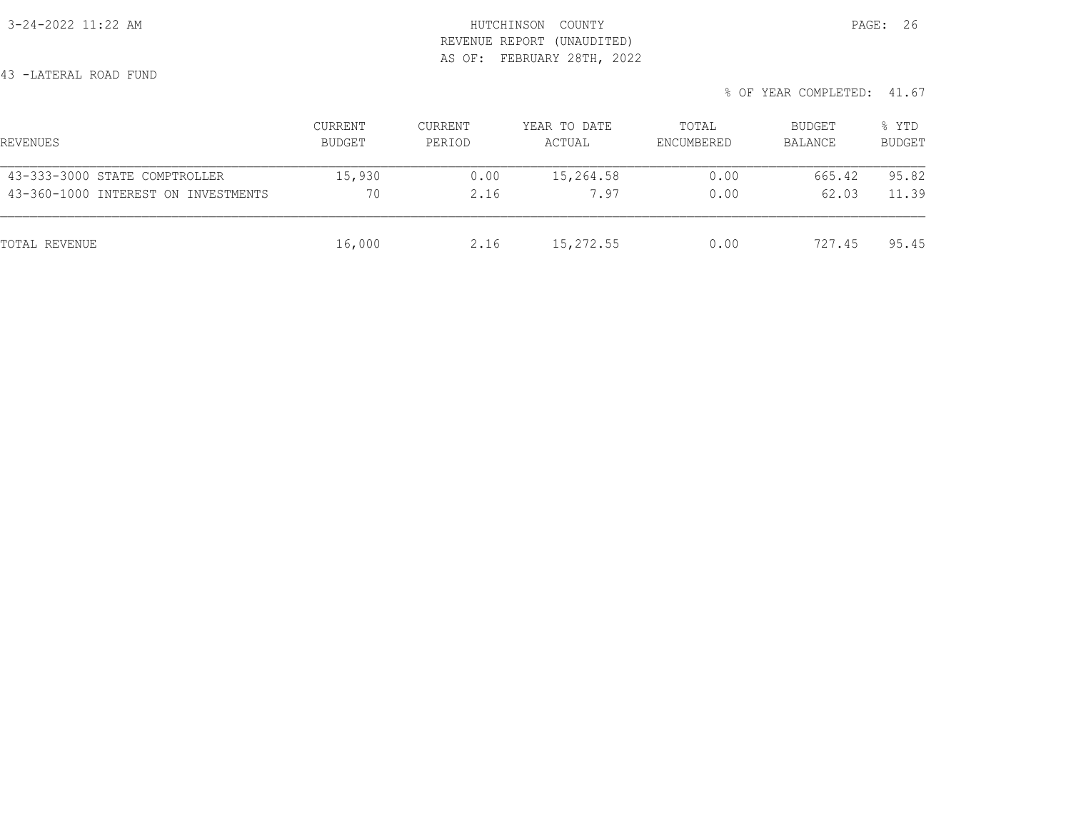3-24-2022 11:22 AM HUTCHINSON COUNTY PAGE: 26 REVENUE REPORT (UNAUDITED) AS OF: FEBRUARY 28TH, 2022

43 -LATERAL ROAD FUND

| REVENUES                            | CURRENT<br>BUDGET | CURRENT<br>PERIOD | YEAR TO DATE<br>ACTUAL | TOTAL<br>ENCUMBERED | BUDGET<br>BALANCE | % YTD<br><b>BUDGET</b> |
|-------------------------------------|-------------------|-------------------|------------------------|---------------------|-------------------|------------------------|
| 43-333-3000 STATE COMPTROLLER       | 15,930            | 0.00              | 15,264.58              | 0.00                | 665.42            | 95.82                  |
| 43-360-1000 INTEREST ON INVESTMENTS | 70                | 2.16              | 7.97                   | 0.00                | 62.03             | 11.39                  |
| TOTAL REVENUE                       | 16,000            | 2.16              | 15,272.55              | 0.00                | 727.45            | 95.45                  |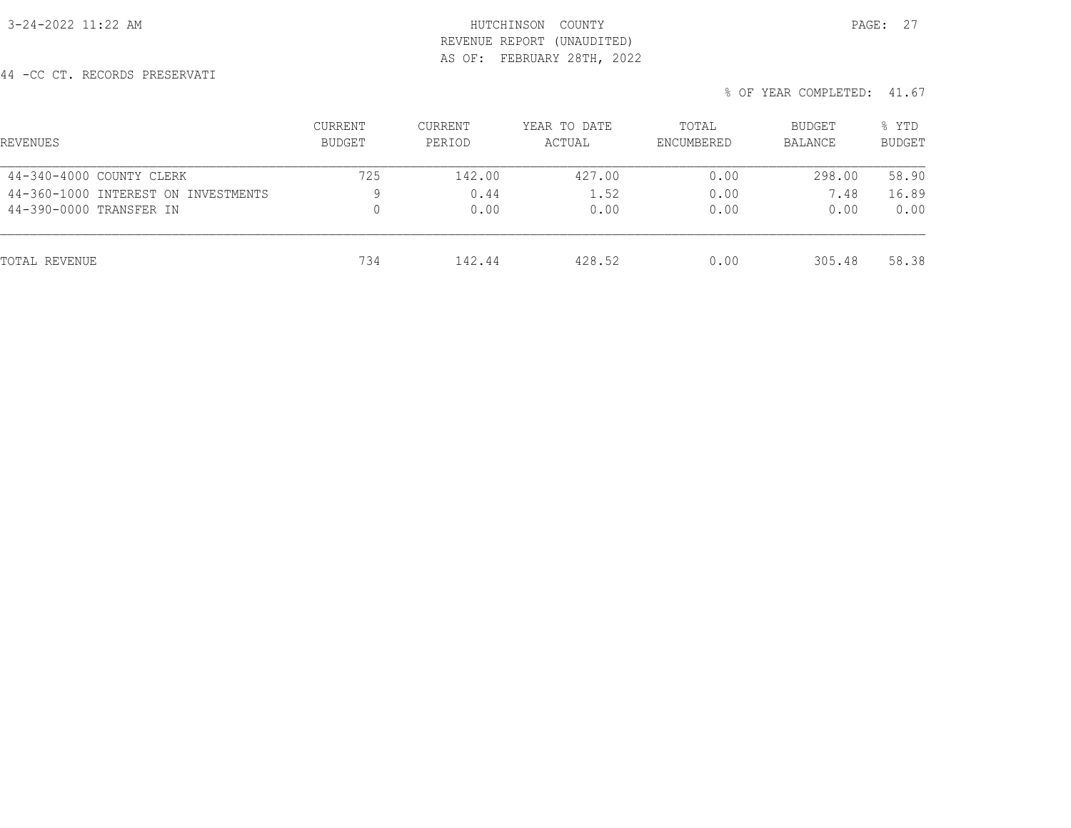## 3-24-2022 11:22 AM HUTCHINSON COUNTY PAGE: 27 REVENUE REPORT (UNAUDITED) AS OF: FEBRUARY 28TH, 2022

44 -CC CT. RECORDS PRESERVATI

| REVENUES                            | <b>CURRENT</b><br><b>BUDGET</b> | <b>CURRENT</b><br>PERIOD | YEAR TO DATE<br>ACTUAL | TOTAL<br>ENCUMBERED | BUDGET<br><b>BALANCE</b> | % YTD<br><b>BUDGET</b> |
|-------------------------------------|---------------------------------|--------------------------|------------------------|---------------------|--------------------------|------------------------|
| 44-340-4000 COUNTY CLERK            | 725                             | 142.00                   | 427.00                 | 0.00                | 298.00                   | 58.90                  |
| 44-360-1000 INTEREST ON INVESTMENTS | 9                               | 0.44                     | 1.52                   | 0.00                | 7.48                     | 16.89                  |
| 44-390-0000 TRANSFER IN             | 0                               | 0.00                     | 0.00                   | 0.00                | 0.00                     | 0.00                   |
| TOTAL REVENUE                       | 734                             | 142.44                   | 428.52                 | 0.00                | 305.48                   | 58.38                  |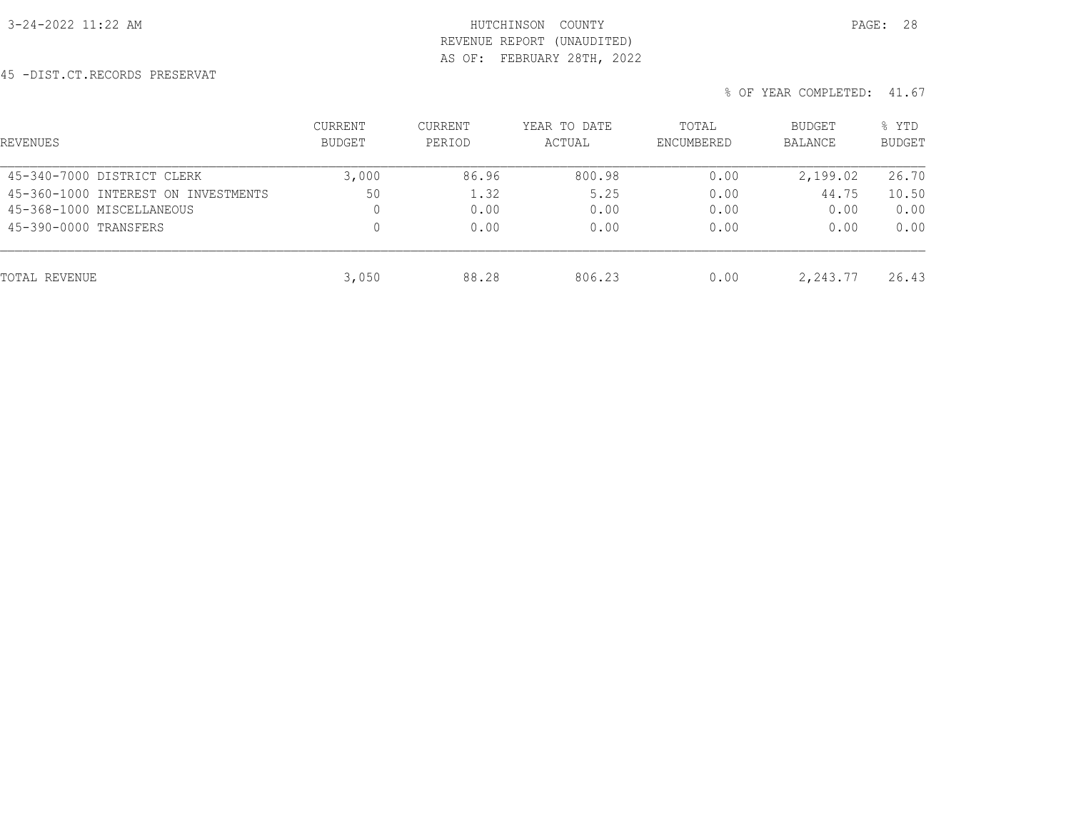## 3-24-2022 11:22 AM HUTCHINSON COUNTY PAGE: 28 REVENUE REPORT (UNAUDITED) AS OF: FEBRUARY 28TH, 2022

45 -DIST.CT.RECORDS PRESERVAT

| REVENUES                            | CURRENT<br>BUDGET | <b>CURRENT</b><br>PERIOD | YEAR TO DATE<br>ACTUAL | TOTAL<br>ENCUMBERED | BUDGET<br>BALANCE | % YTD<br><b>BUDGET</b> |
|-------------------------------------|-------------------|--------------------------|------------------------|---------------------|-------------------|------------------------|
| 45-340-7000 DISTRICT CLERK          | 3,000             | 86.96                    | 800.98                 | 0.00                | 2,199.02          | 26.70                  |
| 45-360-1000 INTEREST ON INVESTMENTS | 50                | 1.32                     | 5.25                   | 0.00                | 44.75             | 10.50                  |
| 45-368-1000 MISCELLANEOUS           | 0                 | 0.00                     | 0.00                   | 0.00                | 0.00              | 0.00                   |
| 45-390-0000 TRANSFERS               |                   | 0.00                     | 0.00                   | 0.00                | 0.00              | 0.00                   |
| TOTAL REVENUE                       | 3,050             | 88.28                    | 806.23                 | 0.00                | 2,243.77          | 26.43                  |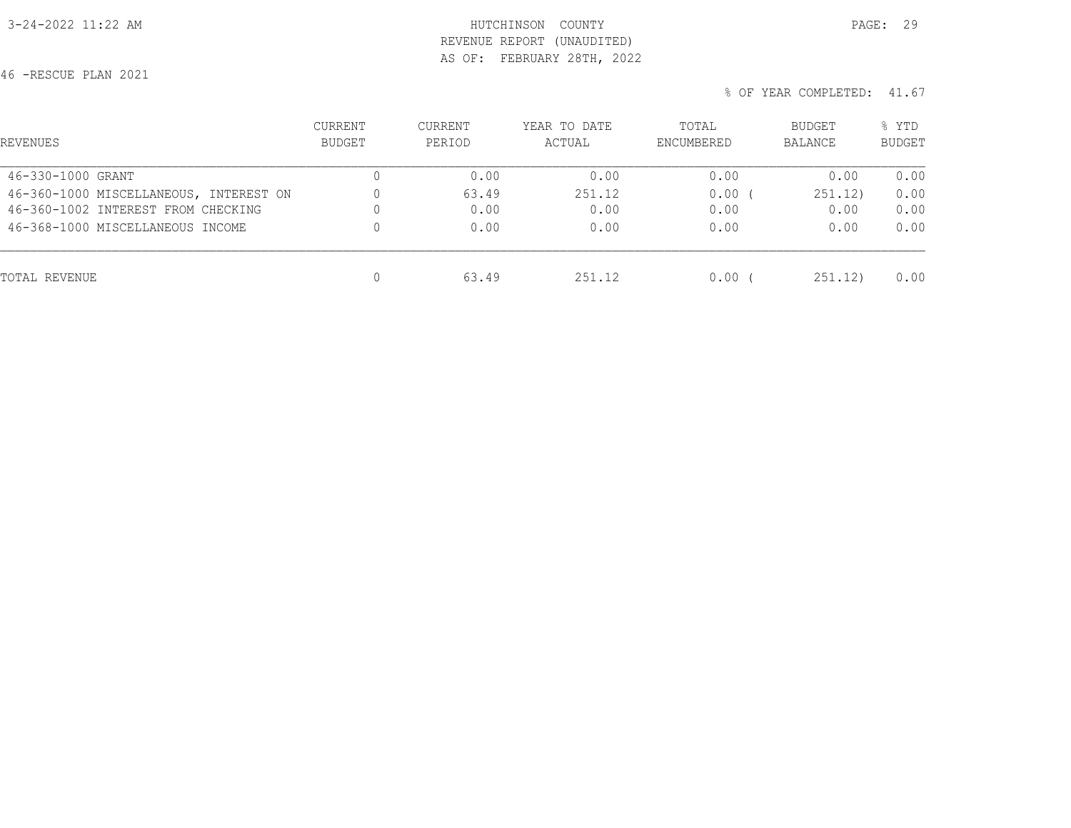## 3-24-2022 11:22 AM **HUTCHINSON** COUNTY REVENUE REPORT (UNAUDITED) AS OF: FEBRUARY 28TH, 2022

46 -RESCUE PLAN 2021

| PAGE: |  |
|-------|--|
|       |  |

| REVENUES                               | <b>CURRENT</b><br>BUDGET | <b>CURRENT</b><br>PERIOD | YEAR TO DATE<br>ACTUAL | TOTAL<br>ENCUMBERED | BUDGET<br>BALANCE | % YTD<br><b>BUDGET</b> |
|----------------------------------------|--------------------------|--------------------------|------------------------|---------------------|-------------------|------------------------|
| 46-330-1000 GRANT                      | 0                        | 0.00                     | 0.00                   | 0.00                | 0.00              | 0.00                   |
| 46-360-1000 MISCELLANEOUS, INTEREST ON | $\mathbf{0}$             | 63.49                    | 251.12                 | 0.00                | 251.12)           | 0.00                   |
| 46-360-1002 INTEREST FROM CHECKING     | 0                        | 0.00                     | 0.00                   | 0.00                | 0.00              | 0.00                   |
| 46-368-1000 MISCELLANEOUS INCOME       | 0                        | 0.00                     | 0.00                   | 0.00                | 0.00              | 0.00                   |
| TOTAL REVENUE                          | 0                        | 63.49                    | 251.12                 | $0.00$ (            | 251, 12)          | 0.00                   |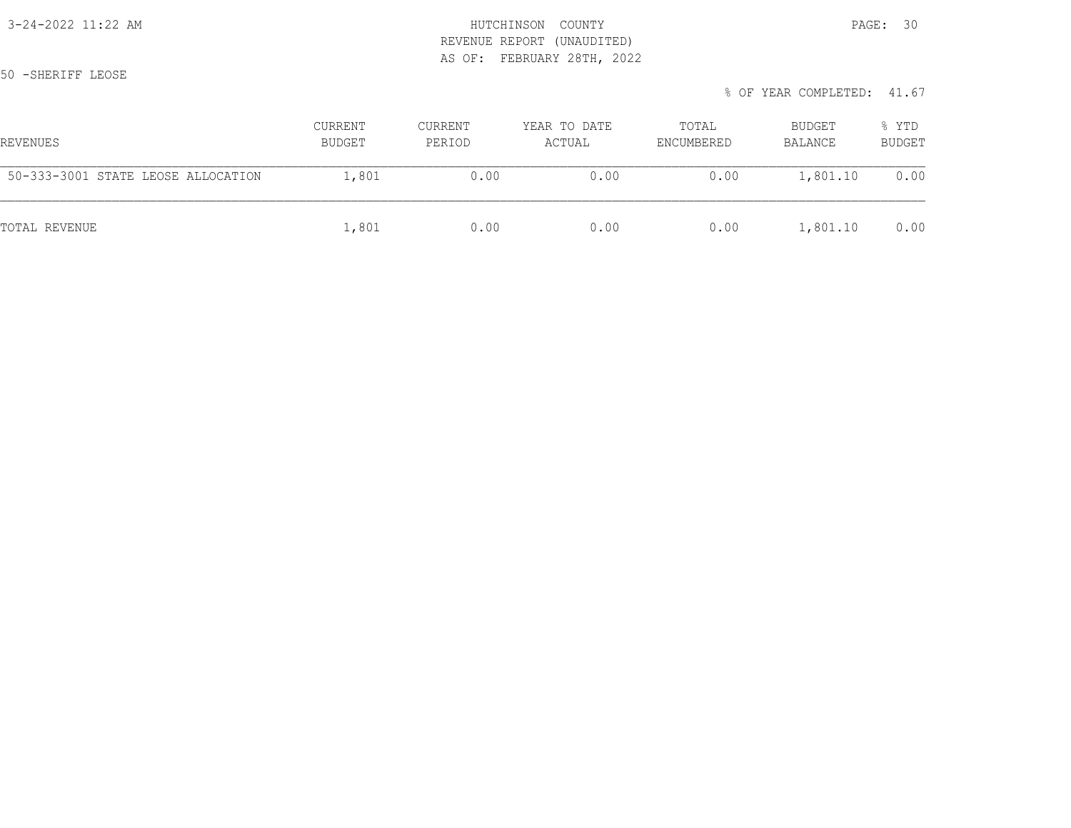# 3-24-2022 11:22 AM HUTCHINSON COUNTY PAGE: 30 REVENUE REPORT (UNAUDITED) AS OF: FEBRUARY 28TH, 2022

50 -SHERIFF LEOSE

| % OF YEAR COMPLETED: 41.67 |  |
|----------------------------|--|
|----------------------------|--|

| REVENUES                           | <b>CURRENT</b><br>BUDGET | CURRENT<br>PERIOD | YEAR TO DATE<br>ACTUAL | TOTAL<br>ENCUMBERED | BUDGET<br>BALANCE | % YTD<br><b>BUDGET</b> |
|------------------------------------|--------------------------|-------------------|------------------------|---------------------|-------------------|------------------------|
| 50-333-3001 STATE LEOSE ALLOCATION | 1,801                    | 0.00              | 0.00                   | 0.00                | 1,801.10          | 0.00                   |
| TOTAL REVENUE                      | 1,801                    | 0.00              | 0.00                   | 0.00                | 1,801.10          | 0.00                   |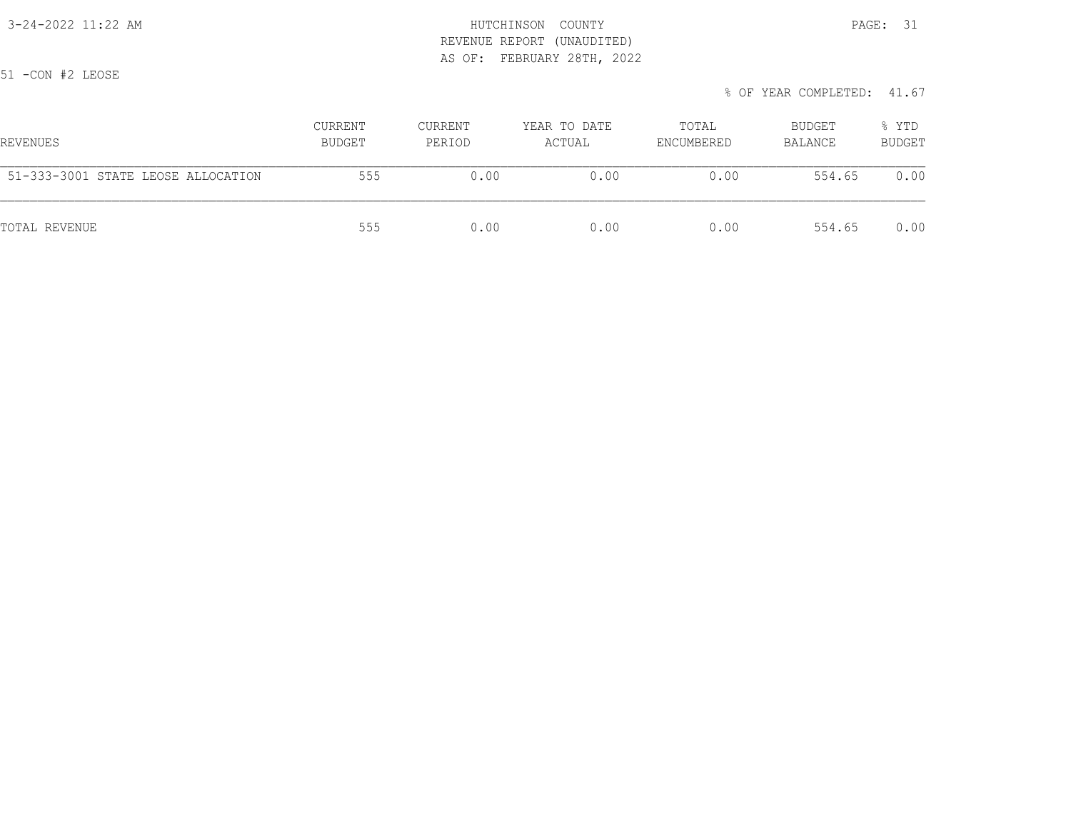3-24-2022 11:22 AM HUTCHINSON COUNTY PAGE: 31 REVENUE REPORT (UNAUDITED) AS OF: FEBRUARY 28TH, 2022

51 -CON #2 LEOSE

|  | % OF YEAR COMPLETED: 41.67 |  |
|--|----------------------------|--|
|  |                            |  |

| REVENUES                           | <b>CURRENT</b><br>BUDGET | CURRENT<br>PERIOD | YEAR TO DATE<br>ACTUAL | TOTAL<br>ENCUMBERED | BUDGET<br>BALANCE | % YTD<br><b>BUDGET</b> |
|------------------------------------|--------------------------|-------------------|------------------------|---------------------|-------------------|------------------------|
| 51-333-3001 STATE LEOSE ALLOCATION | 555                      | 0.00              | 0.00                   | 0.00                | 554.65            | 0.00                   |
| TOTAL REVENUE                      | 555                      | 0.00              | 0.00                   | 0.00                | 554.65            | 0.00                   |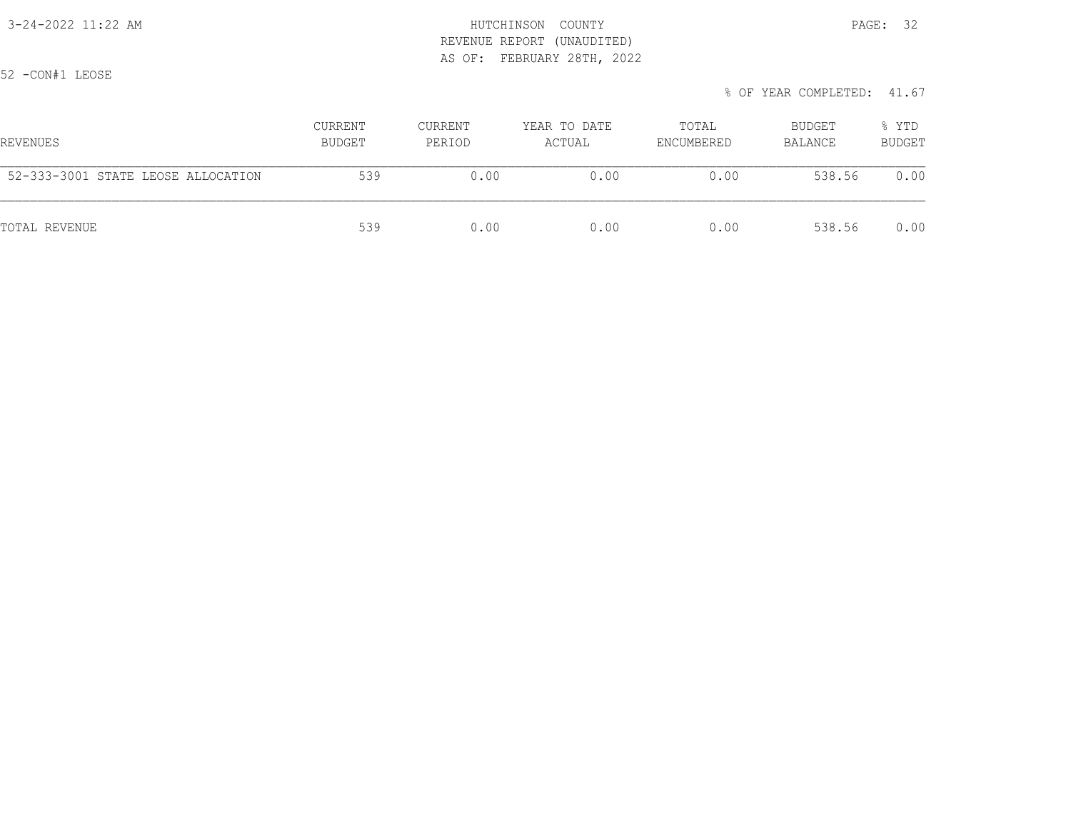## 3-24-2022 11:22 AM HUTCHINSON COUNTY PAGE: 32 REVENUE REPORT (UNAUDITED) AS OF: FEBRUARY 28TH, 2022

52 -CON#1 LEOSE

| REVENUES                           | <b>CURRENT</b><br>BUDGET | <b>CURRENT</b><br>PERIOD | YEAR TO DATE<br>ACTUAL | TOTAL<br>ENCUMBERED | BUDGET<br>BALANCE | % YTD<br><b>BUDGET</b> |
|------------------------------------|--------------------------|--------------------------|------------------------|---------------------|-------------------|------------------------|
| 52-333-3001 STATE LEOSE ALLOCATION | 539                      | 0.00                     | 0.00                   | 0.00                | 538.56            | 0.00                   |
| TOTAL REVENUE                      | 539                      | 0.00                     | 0.00                   | 0.00                | 538.56            | 0.00                   |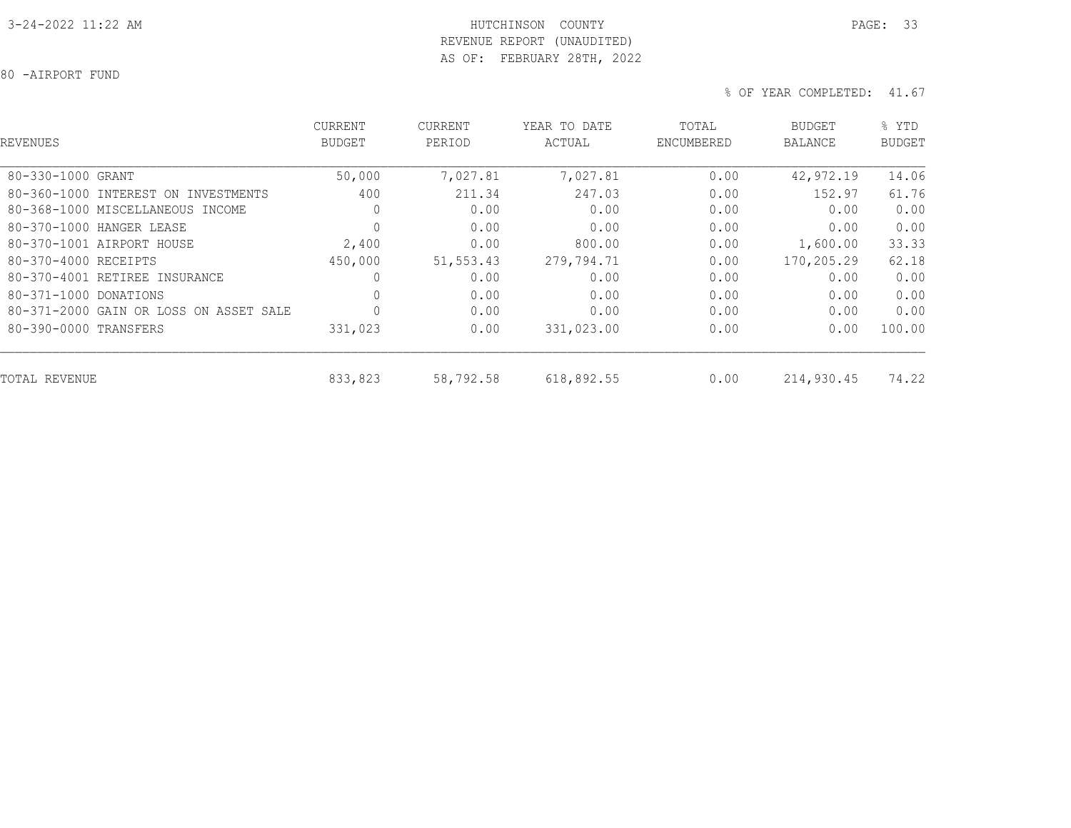## 3-24-2022 11:22 AM HUTCHINSON COUNTY PAGE: 33 REVENUE REPORT (UNAUDITED) AS OF: FEBRUARY 28TH, 2022

80 -AIRPORT FUND

| REVENUES                               | <b>CURRENT</b><br><b>BUDGET</b> | CURRENT<br>PERIOD | YEAR TO DATE<br>ACTUAL | TOTAL<br>ENCUMBERED | BUDGET<br><b>BALANCE</b> | % YTD<br><b>BUDGET</b> |
|----------------------------------------|---------------------------------|-------------------|------------------------|---------------------|--------------------------|------------------------|
| 80-330-1000 GRANT                      | 50,000                          | 7,027.81          | 7,027.81               | 0.00                | 42,972.19                | 14.06                  |
| 80-360-1000 INTEREST ON INVESTMENTS    | 400                             | 211.34            | 247.03                 | 0.00                | 152.97                   | 61.76                  |
| 80-368-1000 MISCELLANEOUS INCOME       | 0                               | 0.00              | 0.00                   | 0.00                | 0.00                     | 0.00                   |
| 80-370-1000 HANGER LEASE               | $\circ$                         | 0.00              | 0.00                   | 0.00                | 0.00                     | 0.00                   |
| 80-370-1001 AIRPORT HOUSE              | 2,400                           | 0.00              | 800.00                 | 0.00                | 1,600.00                 | 33.33                  |
| 80-370-4000 RECEIPTS                   | 450,000                         | 51, 553.43        | 279,794.71             | 0.00                | 170,205.29               | 62.18                  |
| 80-370-4001 RETIREE INSURANCE          | 0                               | 0.00              | 0.00                   | 0.00                | 0.00                     | 0.00                   |
| 80-371-1000 DONATIONS                  | 0                               | 0.00              | 0.00                   | 0.00                | 0.00                     | 0.00                   |
| 80-371-2000 GAIN OR LOSS ON ASSET SALE | 0                               | 0.00              | 0.00                   | 0.00                | 0.00                     | 0.00                   |
| 80-390-0000 TRANSFERS                  | 331,023                         | 0.00              | 331,023.00             | 0.00                | 0.00                     | 100.00                 |
| TOTAL REVENUE                          | 833,823                         | 58,792.58         | 618,892.55             | 0.00                | 214,930.45               | 74.22                  |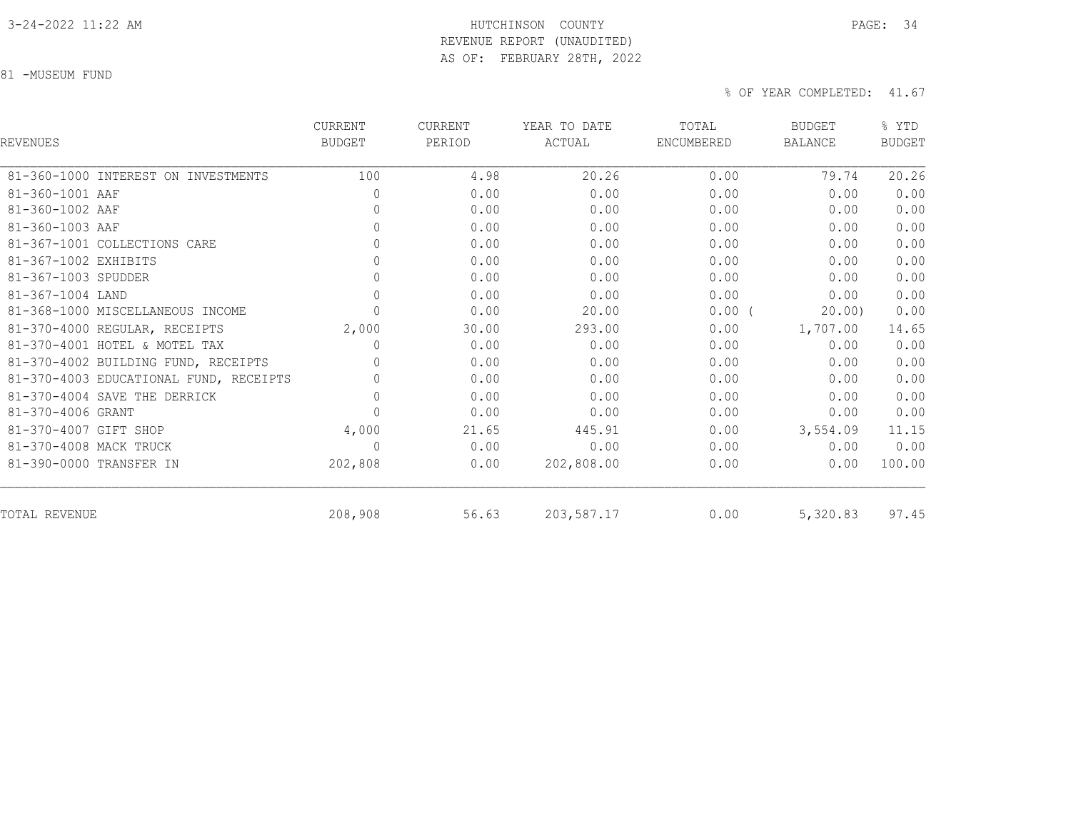#### 3-24-2022 11:22 AM HUTCHINSON COUNTY PAGE: 34 REVENUE REPORT (UNAUDITED)

AS OF: FEBRUARY 28TH, 2022

81 -MUSEUM FUND

| <b>REVENUES</b>                        | <b>CURRENT</b><br><b>BUDGET</b> | <b>CURRENT</b><br>PERIOD | YEAR TO DATE<br>ACTUAL | TOTAL<br>ENCUMBERED | <b>BUDGET</b><br><b>BALANCE</b> | % YTD<br><b>BUDGET</b> |
|----------------------------------------|---------------------------------|--------------------------|------------------------|---------------------|---------------------------------|------------------------|
| 81-360-1000 INTEREST ON INVESTMENTS    | 100                             | 4.98                     | 20.26                  | 0.00                | 79.74                           | 20.26                  |
| 81-360-1001 AAF                        | $\mathbf{0}$                    | 0.00                     | 0.00                   | 0.00                | 0.00                            | 0.00                   |
| 81-360-1002 AAF                        | 0                               | 0.00                     | 0.00                   | 0.00                | 0.00                            | 0.00                   |
| 81-360-1003 AAF                        | $\circ$                         | 0.00                     | 0.00                   | 0.00                | 0.00                            | 0.00                   |
| 81-367-1001 COLLECTIONS CARE           | $\mathbb O$                     | 0.00                     | 0.00                   | 0.00                | 0.00                            | 0.00                   |
| 81-367-1002 EXHIBITS                   | $\mathbb O$                     | 0.00                     | 0.00                   | 0.00                | 0.00                            | 0.00                   |
| 81-367-1003 SPUDDER                    | $\mathbb O$                     | 0.00                     | 0.00                   | 0.00                | 0.00                            | 0.00                   |
| 81-367-1004 LAND                       | $\circ$                         | 0.00                     | 0.00                   | 0.00                | 0.00                            | 0.00                   |
| 81-368-1000 MISCELLANEOUS INCOME       | $\mathbb O$                     | 0.00                     | 20.00                  | $0.00$ (            | 20.00                           | 0.00                   |
| 81-370-4000 REGULAR, RECEIPTS          | 2,000                           | 30.00                    | 293.00                 | 0.00                | 1,707.00                        | 14.65                  |
| 81-370-4001 HOTEL & MOTEL TAX          | 0                               | 0.00                     | 0.00                   | 0.00                | 0.00                            | 0.00                   |
| 81-370-4002 BUILDING FUND, RECEIPTS    | 0                               | 0.00                     | 0.00                   | 0.00                | 0.00                            | 0.00                   |
| 81-370-4003 EDUCATIONAL FUND, RECEIPTS | 0                               | 0.00                     | 0.00                   | 0.00                | 0.00                            | 0.00                   |
| 81-370-4004 SAVE THE DERRICK           | $\circ$                         | 0.00                     | 0.00                   | 0.00                | 0.00                            | 0.00                   |
| 81-370-4006 GRANT                      | $\mathbb O$                     | 0.00                     | 0.00                   | 0.00                | 0.00                            | 0.00                   |
| 81-370-4007 GIFT SHOP                  | 4,000                           | 21.65                    | 445.91                 | 0.00                | 3,554.09                        | 11.15                  |
| 81-370-4008 MACK TRUCK                 | $\mathbf{0}$                    | 0.00                     | 0.00                   | 0.00                | 0.00                            | 0.00                   |
| 81-390-0000 TRANSFER IN                | 202,808                         | 0.00                     | 202,808.00             | 0.00                | 0.00                            | 100.00                 |
| TOTAL REVENUE                          | 208,908                         | 56.63                    | 203,587.17             | 0.00                | 5,320.83                        | 97.45                  |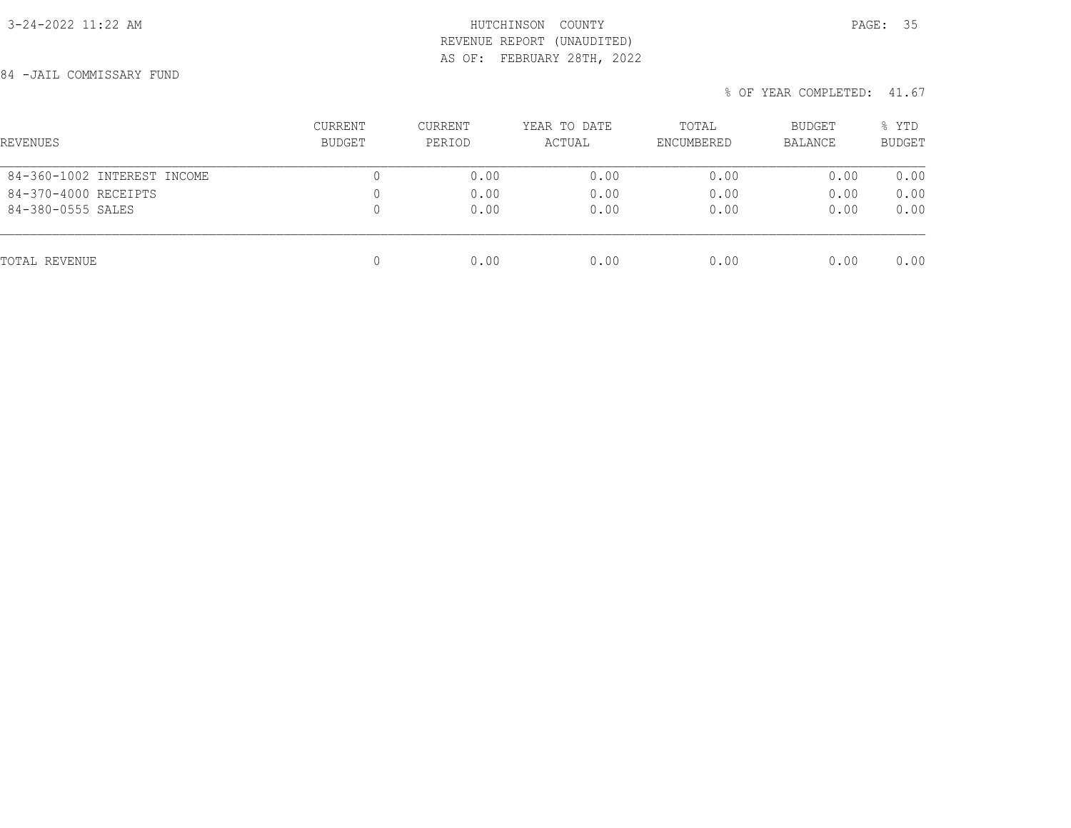# 3-24-2022 11:22 AM HUTCHINSON COUNTY PAGE: 35 REVENUE REPORT (UNAUDITED) AS OF: FEBRUARY 28TH, 2022

84 -JAIL COMMISSARY FUND

| REVENUES                    | <b>CURRENT</b><br>BUDGET | <b>CURRENT</b><br>PERIOD | YEAR TO DATE<br>ACTUAL | TOTAL<br>ENCUMBERED | BUDGET<br>BALANCE | % YTD<br><b>BUDGET</b> |
|-----------------------------|--------------------------|--------------------------|------------------------|---------------------|-------------------|------------------------|
| 84-360-1002 INTEREST INCOME | 0                        | 0.00                     | 0.00                   | 0.00                | 0.00              | 0.00                   |
| 84-370-4000 RECEIPTS        | 0                        | 0.00                     | 0.00                   | 0.00                | 0.00              | 0.00                   |
| 84-380-0555 SALES           | 0                        | 0.00                     | 0.00                   | 0.00                | 0.00              | 0.00                   |
| TOTAL REVENUE               | 0                        | 0.00                     | 0.00                   | 0.00                | 0.00              | 0.00                   |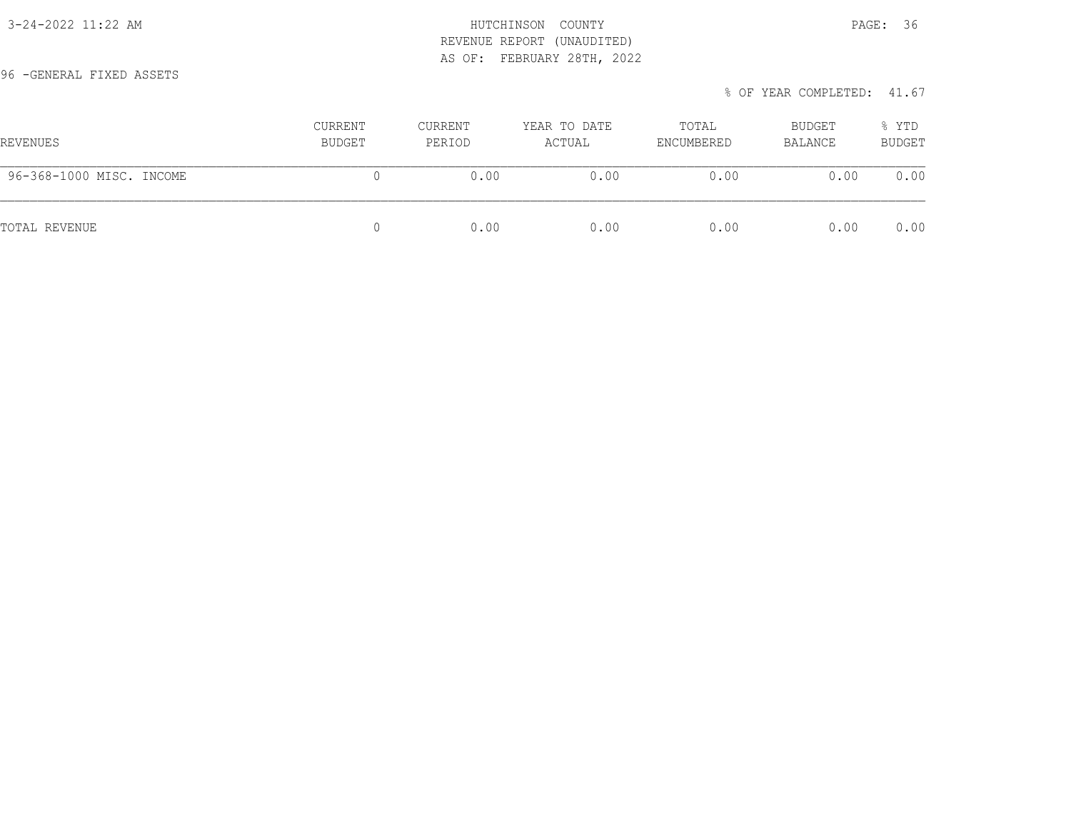## 3-24-2022 11:22 AM **HUTCHINSON** COUNTY REVENUE REPORT (UNAUDITED) AS OF: FEBRUARY 28TH, 2022

96 -GENERAL FIXED ASSETS

| AGE.<br>D. |  |
|------------|--|
|            |  |

| REVENUES                 | CURRENT<br>BUDGET | CURRENT<br>PERIOD | YEAR TO DATE<br>ACTUAL | TOTAL<br>ENCUMBERED | BUDGET<br>BALANCE | % YTD<br><b>BUDGET</b> |
|--------------------------|-------------------|-------------------|------------------------|---------------------|-------------------|------------------------|
| 96-368-1000 MISC. INCOME |                   | 0.00              | 0.00                   | 0.00                | 0.00              | 0.00                   |
| TOTAL REVENUE            |                   | 0.00              | 0.00                   | 0.00                | 0.00              | 0.00                   |